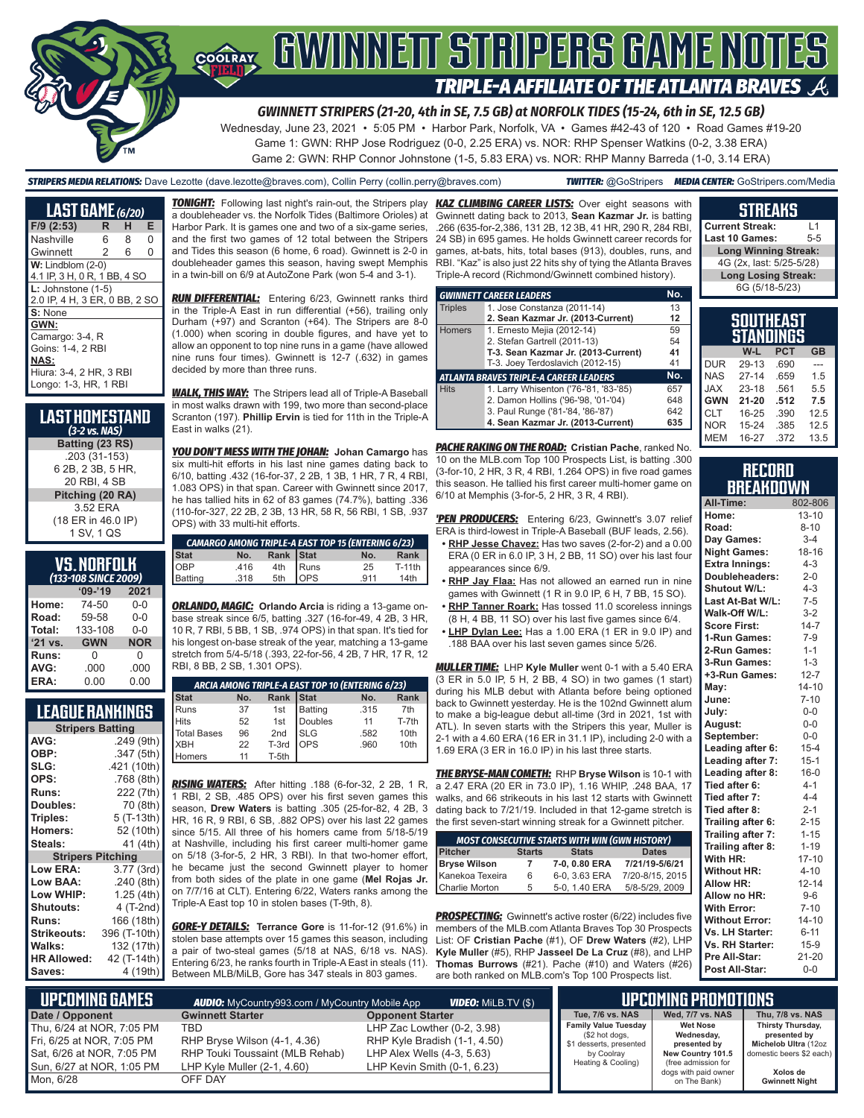

#### *GWINNETT STRIPERS (21-20, 4th in SE, 7.5 GB) at NORFOLK TIDES (15-24, 6th in SE, 12.5 GB)*

Wednesday, June 23, 2021 • 5:05 PM • Harbor Park, Norfolk, VA • Games #42-43 of 120 • Road Games #19-20 Game 1: GWN: RHP Jose Rodriguez (0-0, 2.25 ERA) vs. NOR: RHP Spenser Watkins (0-2, 3.38 ERA) Game 2: GWN: RHP Connor Johnstone (1-5, 5.83 ERA) vs. NOR: RHP Manny Barreda (1-0, 3.14 ERA)

*STRIPERS MEDIA RELATIONS:* Dave Lezotte (dave.lezotte@braves.com), Collin Perry (collin.perry@braves.com) *TWITTER:* @GoStripers *MEDIA CENTER:* GoStripers.com/Media

| <b>LAST GAME</b> (6/20)       |                |   |   |
|-------------------------------|----------------|---|---|
| F/9 (2:53)                    | R              | н | Е |
| Nashville                     | 6              | 8 | 0 |
| Gwinnett                      | $\overline{2}$ | 6 | 0 |
| $W:$ Lindblom $(2-0)$         |                |   |   |
| 4.1 IP, 3 H, 0 R, 1 BB, 4 SO  |                |   |   |
| $L:$ Johnstone $(1-5)$        |                |   |   |
| 2.0 IP, 4 H, 3 ER, 0 BB, 2 SO |                |   |   |
| S: None                       |                |   |   |
| GWN:                          |                |   |   |
| Camargo: 3-4, R               |                |   |   |
| Goins: 1-4, 2 RBI             |                |   |   |
| <b>NAS:</b>                   |                |   |   |
| Hiura: 3-4, 2 HR, 3 RBI       |                |   |   |
| Longo: 1-3, HR, 1 RBI         |                |   |   |

| Last Homestand<br>$(3-2$ vs. NAS) |
|-----------------------------------|
| Batting (23 RS)                   |
| .203 (31-153)                     |
| 6 2B, 2 3B, 5 HR,                 |
| 20 RBI, 4 SB                      |
| Pitching (20 RA)                  |
| 3.52 ERA                          |
| (18 ER in 46.0 IP)                |
| 1 SV, 1 QS                        |
|                                   |

### **VS. NORFOLK**

|         | (133-108 SINCE 2009) |            |  |  |  |  |
|---------|----------------------|------------|--|--|--|--|
|         | $09 - 19$            | 2021       |  |  |  |  |
| Home:   | 74-50                | $0 - 0$    |  |  |  |  |
| Road:   | 59-58                | $0 - 0$    |  |  |  |  |
| Total:  | 133-108              | $0 - 0$    |  |  |  |  |
| '21 vs. | <b>GWN</b>           | <b>NOR</b> |  |  |  |  |
| Runs:   | 0                    | 0          |  |  |  |  |
| AVG:    | .000                 | .000       |  |  |  |  |
| ERA:    | 0.00                 | 0.00       |  |  |  |  |

# **LEAGUE RANKINGS**

| <b>Stripers Batting</b>  |              |
|--------------------------|--------------|
| AVG:                     | .249 (9th)   |
| OBP:                     | .347 (5th)   |
| SLG:                     | .421 (10th)  |
| OPS:                     | .768 (8th)   |
| Runs:                    | 222 (7th)    |
| Doubles:                 | 70 (8th)     |
| Triples:                 | 5 (T-13th)   |
| Homers:                  | 52 (10th)    |
| Steals:                  | 41 (4th)     |
| <b>Stripers Pitching</b> |              |
| Low ERA:                 | 3.77 (3rd)   |
| Low BAA:                 | .240(8th)    |
| Low WHIP:                | 1.25 (4th)   |
| <b>Shutouts:</b>         | 4 (T-2nd)    |
| <b>Runs:</b>             | 166 (18th)   |
| <b>Strikeouts:</b>       | 396 (T-10th) |
| Walks:                   | 132 (17th)   |
| <b>HR Allowed:</b>       | 42 (T-14th)  |
| Saves:                   | 4 (19th)     |

a doubleheader vs. the Norfolk Tides (Baltimore Orioles) at Harbor Park. It is games one and two of a six-game series, and the first two games of 12 total between the Stripers and Tides this season (6 home, 6 road). Gwinnett is 2-0 in doubleheader games this season, having swept Memphis in a twin-bill on 6/9 at AutoZone Park (won 5-4 and 3-1).

*RUN DIFFERENTIAL:* Entering 6/23, Gwinnett ranks third in the Triple-A East in run differential (+56), trailing only Durham (+97) and Scranton (+64). The Stripers are 8-0 (1.000) when scoring in double figures, and have yet to allow an opponent to top nine runs in a game (have allowed nine runs four times). Gwinnett is 12-7 (.632) in games decided by more than three runs.

*WALK, THIS WAY:* The Stripers lead all of Triple-A Baseball in most walks drawn with 199, two more than second-place Scranton (197). **Phillip Ervin** is tied for 11th in the Triple-A East in walks (21).

*YOU DON'T MESS WITH THE JOHAN:* **Johan Camargo** has six multi-hit efforts in his last nine games dating back to 6/10, batting .432 (16-for-37, 2 2B, 1 3B, 1 HR, 7 R, 4 RBI, 1.083 OPS) in that span. Career with Gwinnett since 2017, he has tallied hits in 62 of 83 games (74.7%), batting .336 (110-for-327, 22 2B, 2 3B, 13 HR, 58 R, 56 RBI, 1 SB, .937 OPS) with 33 multi-hit efforts.

|                        |      |                                  | <b>CAMARGO AMONG TRIPLE-A EAST TOP 15 (ENTERING 6/23)</b> |        |
|------------------------|------|----------------------------------|-----------------------------------------------------------|--------|
| Stat<br>OBP<br>Batting | No.  | Rank Stat<br>4th Runs<br>5th OPS | No.                                                       | Rank   |
|                        | .416 |                                  | 25                                                        | T-11th |
|                        | .318 |                                  | 911                                                       | 14th   |

*ORLANDO, MAGIC:* **Orlando Arcia** is riding a 13-game onbase streak since 6/5, batting .327 (16-for-49, 4 2B, 3 HR, 10 R, 7 RBI, 5 BB, 1 SB, .974 OPS) in that span. It's tied for his longest on-base streak of the year, matching a 13-game stretch from 5/4-5/18 (.393, 22-for-56, 4 2B, 7 HR, 17 R, 12 RBI, 8 BB, 2 SB, 1.301 OPS).

| ARCIA AMONG TRIPLE-A EAST TOP 10 (ENTERING 6/23) |     |                 |             |      |             |
|--------------------------------------------------|-----|-----------------|-------------|------|-------------|
| <b>Stat</b>                                      | No. | Rank            | <b>Stat</b> | No.  | <b>Rank</b> |
| Runs                                             | 37  | 1st             | Batting     | .315 | 7th         |
| <b>Hits</b>                                      | 52  | 1st             | Doubles     | 11   | T-7th       |
| <b>Total Bases</b>                               | 96  | 2 <sub>nd</sub> | <b>SLG</b>  | .582 | 10th        |
| XBH                                              | 22  | T-3rd           | <b>OPS</b>  | .960 | 10th        |
| omers                                            |     | T-5th           |             |      |             |

*RISING WATERS:* After hitting .188 (6-for-32, 2 2B, 1 R, 1 RBI, 2 SB, .485 OPS) over his first seven games this season, **Drew Waters** is batting .305 (25-for-82, 4 2B, 3 HR, 16 R, 9 RBI, 6 SB, .882 OPS) over his last 22 games since 5/15. All three of his homers came from 5/18-5/19 at Nashville, including his first career multi-homer game on 5/18 (3-for-5, 2 HR, 3 RBI). In that two-homer effort, he became just the second Gwinnett player to homer from both sides of the plate in one game (**Mel Rojas Jr.** on 7/7/16 at CLT). Entering 6/22, Waters ranks among the Triple-A East top 10 in stolen bases (T-9th, 8).

*GORE-Y DETAILS:* **Terrance Gore** is 11-for-12 (91.6%) in stolen base attempts over 15 games this season, including a pair of two-steal games (5/18 at NAS, 6/18 vs. NAS). Entering 6/23, he ranks fourth in Triple-A East in steals (11). Between MLB/MiLB, Gore has 347 steals in 803 games.

*TONIGHT:* Following last night's rain-out, the Stripers play *KAZ CLIMBING CAREER LISTS:* Over eight seasons with Gwinnett dating back to 2013, **Sean Kazmar Jr.** is batting .266 (635-for-2,386, 131 2B, 12 3B, 41 HR, 290 R, 284 RBI, 24 SB) in 695 games. He holds Gwinnett career records for games, at-bats, hits, total bases (913), doubles, runs, and RBI. "Kaz" is also just 22 hits shy of tying the Atlanta Braves Triple-A record (Richmond/Gwinnett combined history).

|                | <b>GWINNETT CAREER LEADERS</b>         | No. |
|----------------|----------------------------------------|-----|
| <b>Triples</b> | 1. Jose Constanza (2011-14)            | 13  |
|                | 2. Sean Kazmar Jr. (2013-Current)      | 12  |
| <b>Homers</b>  | 1. Ernesto Mejia (2012-14)             | 59  |
|                | 2. Stefan Gartrell (2011-13)           | 54  |
|                | T-3. Sean Kazmar Jr. (2013-Current)    | 41  |
|                | T-3. Joey Terdoslavich (2012-15)       | 41  |
|                | ATLANTA BRAVES TRIPLE-A CAREER LEADERS | No. |
| <b>Hits</b>    | 1. Larry Whisenton ('76-'81, '83-'85)  | 657 |
|                | 2. Damon Hollins ('96-'98, '01-'04)    | 648 |
|                | 3. Paul Runge ('81-'84, '86-'87)       | 642 |
|                | 4. Sean Kazmar Jr. (2013-Current)      | 635 |

*PACHE RAKING ON THE ROAD:* **Cristian Pache**, ranked No. 10 on the MLB.com Top 100 Prospects List, is batting .300 (3-for-10, 2 HR, 3 R, 4 RBI, 1.264 OPS) in five road games this season. He tallied his first career multi-homer game on 6/10 at Memphis (3-for-5, 2 HR, 3 R, 4 RBI).

*'PEN PRODUCERS:* Entering 6/23, Gwinnett's 3.07 relief ERA is third-lowest in Triple-A Baseball (BUF leads, 2.56).

- **• RHP Jesse Chavez:** Has two saves (2-for-2) and a 0.00 ERA (0 ER in 6.0 IP, 3 H, 2 BB, 11 SO) over his last four appearances since 6/9.
- **• RHP Jay Flaa:** Has not allowed an earned run in nine games with Gwinnett (1 R in 9.0 IP, 6 H, 7 BB, 15 SO).
- **• RHP Tanner Roark:** Has tossed 11.0 scoreless innings (8 H, 4 BB, 11 SO) over his last five games since 6/4.
- **• LHP Dylan Lee:** Has a 1.00 ERA (1 ER in 9.0 IP) and .188 BAA over his last seven games since 5/26.

*MULLER TIME:* LHP **Kyle Muller** went 0-1 with a 5.40 ERA (3 ER in 5.0 IP, 5 H, 2 BB, 4 SO) in two games (1 start) during his MLB debut with Atlanta before being optioned back to Gwinnett yesterday. He is the 102nd Gwinnett alum to make a big-league debut all-time (3rd in 2021, 1st with ATL). In seven starts with the Stripers this year, Muller is 2-1 with a 4.60 ERA (16 ER in 31.1 IP), including 2-0 with a 1.69 ERA (3 ER in 16.0 IP) in his last three starts.

*THE BRYSE-MAN COMETH:* RHP **Bryse Wilson** is 10-1 with a 2.47 ERA (20 ER in 73.0 IP), 1.16 WHIP, .248 BAA, 17 walks, and 66 strikeouts in his last 12 starts with Gwinnett dating back to 7/21/19. Included in that 12-game stretch is the first seven-start winning streak for a Gwinnett pitcher.

| <b>MOST CONSECUTIVE STARTS WITH WIN (GWN HISTORY)</b> |               |               |                    |  |
|-------------------------------------------------------|---------------|---------------|--------------------|--|
| <b>Pitcher</b>                                        | <b>Starts</b> | <b>Stats</b>  | <b>Dates</b>       |  |
| <b>Bryse Wilson</b>                                   | 7             | 7-0.0.80 ERA  | 7/21/19-5/6/21     |  |
| Kanekoa Texeira                                       | 6             | 6-0, 3.63 ERA | 7/20-8/15, 2015    |  |
| <b>Charlie Morton</b>                                 | 5             | 5-0.1.40 ERA  | $5/8 - 5/29, 2009$ |  |

**PROSPECTING:** Gwinnett's active roster (6/22) includes five members of the MLB.com Atlanta Braves Top 30 Prospects List: OF **Cristian Pache** (#1), OF **Drew Waters** (#2), LHP **Kyle Muller** (#5), RHP **Jasseel De La Cruz** (#8), and LHP **Thomas Burrows** (#21). Pache (#10) and Waters (#26) are both ranked on MLB.com's Top 100 Prospects list.

| <b>Current Streak:</b>      | $\overline{1}$ |
|-----------------------------|----------------|
| Last 10 Games:              | $5 - 5$        |
| <b>Long Winning Streak:</b> |                |
| 4G (2x, last: 5/25-5/28)    |                |
| <b>Long Losing Streak:</b>  |                |
| 6G (5/18-5/23)              |                |
|                             |                |
|                             |                |

**STREAKS**

|            | 500 I MEA5 I<br>STANDINGS |            |           |
|------------|---------------------------|------------|-----------|
|            | W-L                       | <b>PCT</b> | <b>GB</b> |
| <b>DUR</b> | 29-13                     | .690       |           |
| <b>NAS</b> | $27-14$                   | .659       | 1.5       |
| <b>JAX</b> | $23 - 18$                 | .561       | 5.5       |
| <b>GWN</b> | $21 - 20$                 | .512       | 7.5       |
| <b>CLT</b> | 16-25                     | .390       | 12.5      |
| <b>NOR</b> | 15-24                     | .385       | 12.5      |
| <b>MEM</b> | 16-27                     | .372       | 13.5      |

#### **RECORD BREAKDOWN**

| All-Time:             | 802-806   |
|-----------------------|-----------|
| Home:                 | $13 - 10$ |
| Road:                 | $8 - 10$  |
| Day Games:            | $3 - 4$   |
| <b>Night Games:</b>   | 18-16     |
| <b>Extra Innings:</b> | $4 - 3$   |
| Doubleheaders:        | $2 - 0$   |
| Shutout W/L:          | $4 - 3$   |
| Last At-Bat W/L:      | $7 - 5$   |
| Walk-Off W/L:         | $3-2$     |
| <b>Score First:</b>   | $14 - 7$  |
| 1-Run Games:          | $7-9$     |
| 2-Run Games:          | $1 - 1$   |
| 3-Run Games:          | $1 - 3$   |
| +3-Run Games:         | $12 - 7$  |
| May:                  | $14 - 10$ |
| June:                 | $7 - 10$  |
| July:                 | $0-0$     |
| August:               | 0-0       |
| September:            | $0-0$     |
| Leading after 6:      | $15 - 4$  |
| Leading after 7:      | $15 - 1$  |
| Leading after 8:      | $16 - 0$  |
| Tied after 6:         | $4 - 1$   |
| Tied after 7:         | $4 - 4$   |
| Tied after 8:         | $2 - 1$   |
| Trailing after 6:     | $2 - 15$  |
| Trailing after 7:     | $1 - 15$  |
| Trailing after 8:     | $1 - 19$  |
| With HR:              | $17 - 10$ |
| <b>Without HR:</b>    | $4 - 10$  |
| <b>Allow HR:</b>      | $12 - 14$ |
| Allow no HR:          | $9-6$     |
| <b>With Error:</b>    | $7 - 10$  |
| <b>Without Error:</b> | $14 - 10$ |
| Vs. LH Starter:       | $6 - 11$  |
| Vs. RH Starter:       | $15-9$    |
| Pre All-Star:         | 21-20     |
| Post All-Star:        | $0 - 0$   |

| L UPCOMIÑG GAMES I        | <b>AUDIO:</b> MyCountry993.com / MyCountry Mobile App | <b>VIDEO:</b> Milb.TV (\$)   |                                           | LIPCOMING PROMOTIONS                        |                                      |
|---------------------------|-------------------------------------------------------|------------------------------|-------------------------------------------|---------------------------------------------|--------------------------------------|
| Date / Opponent           | <b>Gwinnett Starter</b>                               | <b>Opponent Starter</b>      | Tue, 7/6 vs. NAS                          | Wed, 7/7 vs. NAS                            | Thu, 7/8 vs. NAS                     |
| Thu. 6/24 at NOR. 7:05 PM | TBD                                                   | LHP Zac Lowther (0-2, 3.98)  | <b>Family Value Tuesday</b>               | <b>Wet Nose</b>                             | Thirsty Thursday,                    |
| Fri, 6/25 at NOR, 7:05 PM | RHP Bryse Wilson (4-1, 4.36)                          | RHP Kyle Bradish (1-1, 4.50) | (\$2 hot dogs,<br>\$1 desserts, presented | Wednesday,<br>presented by                  | presented by<br>Michelob Ultra (12oz |
| Sat. 6/26 at NOR. 7:05 PM | RHP Touki Toussaint (MLB Rehab)                       | LHP Alex Wells (4-3, 5.63)   | by Coolray                                | New Country 101.5                           | domestic beers \$2 each)             |
| Sun. 6/27 at NOR. 1:05 PM | LHP Kyle Muller (2-1, 4.60)                           | LHP Kevin Smith (0-1, 6.23)  | Heating & Cooling)                        | (free admission for<br>dogs with paid owner | Xolos de                             |
| Mon. 6/28                 | OFF DAY                                               |                              |                                           | on The Bank)                                | <b>Gwinnett Night</b>                |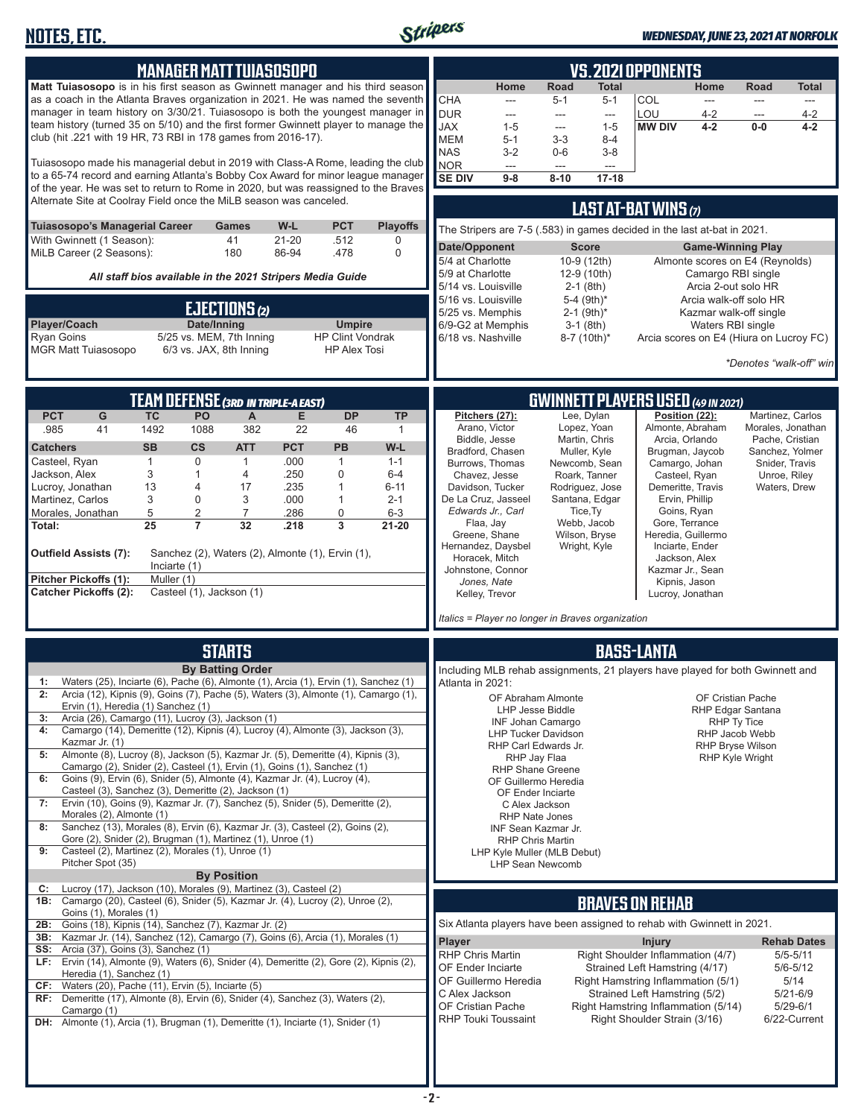

#### *WEDNESDAY, JUNE 23, 2021 AT NORFOLK*

|                                                       |                                    | <b>MANAGER MATT TUIASOSOPO</b>                                                                                                                                                                                                                       |                    |                                          |                     |                                                                                                    |                                                          | <u>VS.2021 OPPONENTS</u>                                                |                                                                                   |  |  |
|-------------------------------------------------------|------------------------------------|------------------------------------------------------------------------------------------------------------------------------------------------------------------------------------------------------------------------------------------------------|--------------------|------------------------------------------|---------------------|----------------------------------------------------------------------------------------------------|----------------------------------------------------------|-------------------------------------------------------------------------|-----------------------------------------------------------------------------------|--|--|
|                                                       |                                    | Matt Tuiasosopo is in his first season as Gwinnett manager and his third season<br>as a coach in the Atlanta Braves organization in 2021. He was named the seventh<br>manager in team history on 3/30/21. Tuiasosopo is both the youngest manager in |                    |                                          |                     | Home<br>CHA<br>$\frac{1}{2}$<br><b>DUR</b><br>$\overline{a}$                                       | Road<br><b>Total</b><br>$5 - 1$<br>$5 - 1$<br>---<br>--- | Home<br><b>COL</b><br>$\overline{\phantom{a}}$<br>LOU<br>$4 - 2$        | <b>Road</b><br><b>Total</b><br>$\overline{a}$<br>$\overline{a}$<br>$4 - 2$<br>--- |  |  |
|                                                       |                                    | team history (turned 35 on 5/10) and the first former Gwinnett player to manage the<br>club (hit .221 with 19 HR, 73 RBI in 178 games from 2016-17).                                                                                                 |                    |                                          |                     | <b>JAX</b><br>$1 - 5$<br><b>MEM</b><br>$5 - 1$                                                     | $1 - 5$<br>---<br>$3 - 3$<br>$8 - 4$                     | <b>MW DIV</b><br>$4 - 2$                                                | 0-0<br>$4 - 2$                                                                    |  |  |
|                                                       |                                    | Tuiasosopo made his managerial debut in 2019 with Class-A Rome, leading the club                                                                                                                                                                     |                    |                                          |                     | <b>NAS</b><br>$3 - 2$<br><b>NOR</b><br>---                                                         | $0-6$<br>$3-8$<br>$\overline{a}$<br>$\overline{a}$       |                                                                         |                                                                                   |  |  |
|                                                       |                                    | to a 65-74 record and earning Atlanta's Bobby Cox Award for minor league manager<br>of the year. He was set to return to Rome in 2020, but was reassigned to the Braves                                                                              |                    |                                          |                     | <b>SE DIV</b><br>$9 - 8$                                                                           | $17 - 18$<br>$8 - 10$                                    |                                                                         |                                                                                   |  |  |
| <b>Tuiasosopo's Managerial Career</b>                 |                                    | Alternate Site at Coolray Field once the MiLB season was canceled.<br><b>Games</b>                                                                                                                                                                   | W-L                | <b>PCT</b>                               | <b>Playoffs</b>     | LAST AT-BAT WINS (7)<br>The Stripers are 7-5 (.583) in games decided in the last at-bat in 2021.   |                                                          |                                                                         |                                                                                   |  |  |
| With Gwinnett (1 Season):<br>MiLB Career (2 Seasons): |                                    | 41<br>180                                                                                                                                                                                                                                            | $21 - 20$<br>86-94 | .512<br>.478                             | 0<br>$\mathbf 0$    | Date/Opponent                                                                                      | <b>Score</b>                                             | <b>Game-Winning Play</b>                                                |                                                                                   |  |  |
|                                                       |                                    | All staff bios available in the 2021 Stripers Media Guide                                                                                                                                                                                            |                    |                                          |                     | 5/4 at Charlotte<br>5/9 at Charlotte                                                               | 10-9 (12th)<br>12-9 (10th)                               | Almonte scores on E4 (Reynolds)<br>Camargo RBI single                   |                                                                                   |  |  |
|                                                       |                                    | EJECTIONS (2)                                                                                                                                                                                                                                        |                    |                                          |                     | 5/14 vs. Louisville<br>5/16 vs. Louisville<br>5/25 vs. Memphis                                     | $2-1$ (8th)<br>5-4 (9th)*<br>$2-1$ (9th) <sup>*</sup>    | Arcia 2-out solo HR<br>Arcia walk-off solo HR<br>Kazmar walk-off single |                                                                                   |  |  |
| Player/Coach<br><b>Ryan Goins</b>                     |                                    | Date/Inning<br>5/25 vs. MEM, 7th Inning                                                                                                                                                                                                              |                    | <b>Umpire</b><br><b>HP Clint Vondrak</b> |                     | 6/9-G2 at Memphis<br>6/18 vs. Nashville                                                            | $3-1$ (8th)<br>8-7 (10th)*                               | Waters RBI single<br>Arcia scores on E4 (Hiura on Lucroy FC)            |                                                                                   |  |  |
| <b>MGR Matt Tuiasosopo</b>                            |                                    | 6/3 vs. JAX, 8th Inning                                                                                                                                                                                                                              |                    | <b>HP Alex Tosi</b>                      |                     |                                                                                                    |                                                          |                                                                         | *Denotes "walk-off" win                                                           |  |  |
|                                                       |                                    | <b>TEAM DEFENSE (3RD IN TRIPLE-A EAST)</b>                                                                                                                                                                                                           |                    |                                          |                     |                                                                                                    |                                                          | <b>GWINNETT PLAYERS USED (49 IN 2021)</b>                               |                                                                                   |  |  |
| <b>PCT</b><br>G<br>41                                 | <b>TC</b><br>1492                  | PO<br>A                                                                                                                                                                                                                                              | E                  | <b>DP</b><br>46                          | <b>TP</b>           | Pitchers (27):<br>Arano, Victor                                                                    | Lee. Dvlan<br>Lopez, Yoan                                | Position (22):<br>Almonte, Abraham                                      | Martinez, Carlos<br>Morales, Jonathan                                             |  |  |
| .985<br><b>Catchers</b>                               | <b>SB</b>                          | 1088<br>382<br><b>CS</b><br><b>ATT</b>                                                                                                                                                                                                               | 22<br><b>PCT</b>   | <b>PB</b>                                | $\mathbf{1}$<br>W-L | Biddle, Jesse<br>Bradford, Chasen                                                                  | Martin, Chris<br>Muller, Kyle                            | Arcia, Orlando<br>Brugman, Jaycob                                       | Pache, Cristian<br>Sanchez. Yolmer                                                |  |  |
| Casteel, Ryan<br>Jackson, Alex                        | $\mathbf{1}$<br>3                  | $\mathbf 0$<br>$\mathbf{1}$<br>$\mathbf{1}$<br>4                                                                                                                                                                                                     | .000<br>.250       | $\mathbf{1}$<br>$\Omega$                 | $1 - 1$<br>$6 - 4$  | Burrows, Thomas<br>Chavez, Jesse                                                                   | Newcomb, Sean<br>Roark, Tanner                           | Camargo, Johan<br>Casteel, Ryan                                         | Snider, Travis<br>Unroe, Riley                                                    |  |  |
| Lucroy, Jonathan                                      | 13                                 | $\overline{4}$<br>17                                                                                                                                                                                                                                 | .235               | $\mathbf{1}$                             | $6 - 11$            | Davidson, Tucker                                                                                   | Rodriguez, Jose                                          | Demeritte, Travis                                                       | Waters, Drew                                                                      |  |  |
| Martinez, Carlos<br>Morales, Jonathan                 | 3<br>5                             | $\mathbf 0$<br>3<br>$\overline{2}$<br>$\overline{7}$                                                                                                                                                                                                 | .000<br>.286       | $\mathbf{1}$<br>$\mathbf 0$              | $2 - 1$<br>$6 - 3$  | De La Cruz, Jasseel<br>Edwards Jr., Carl                                                           | Santana, Edgar<br>Tice, Ty                               | Ervin, Phillip<br>Goins, Ryan                                           |                                                                                   |  |  |
| Total:                                                | 25                                 | $\overline{7}$<br>32                                                                                                                                                                                                                                 | .218               | $\overline{3}$                           | $21 - 20$           | Flaa, Jay<br>Greene, Shane                                                                         | Webb, Jacob<br>Wilson, Bryse                             | Gore, Terrance<br>Heredia, Guillermo                                    |                                                                                   |  |  |
| <b>Outfield Assists (7):</b>                          |                                    | Sanchez (2), Waters (2), Almonte (1), Ervin (1),                                                                                                                                                                                                     |                    |                                          |                     | Hernandez, Daysbel<br>Horacek, Mitch                                                               | Wright, Kyle                                             | Inciarte, Ender<br>Jackson, Alex                                        |                                                                                   |  |  |
| Pitcher Pickoffs (1):                                 | Inciarte $(1)$<br>Muller (1)       |                                                                                                                                                                                                                                                      |                    |                                          |                     | Johnstone, Connor<br>Jones, Nate                                                                   |                                                          | Kazmar Jr., Sean<br>Kipnis, Jason                                       |                                                                                   |  |  |
| <b>Catcher Pickoffs (2):</b>                          |                                    | Casteel (1), Jackson (1)                                                                                                                                                                                                                             |                    |                                          |                     | Kelley, Trevor                                                                                     |                                                          | Lucroy, Jonathan                                                        |                                                                                   |  |  |
|                                                       |                                    |                                                                                                                                                                                                                                                      |                    |                                          |                     | Italics = Player no longer in Braves organization                                                  |                                                          |                                                                         |                                                                                   |  |  |
|                                                       |                                    | <b>STARTS</b>                                                                                                                                                                                                                                        |                    |                                          |                     | <b>BASS-LANTA</b><br>Including MLB rehab assignments, 21 players have played for both Gwinnett and |                                                          |                                                                         |                                                                                   |  |  |
|                                                       |                                    | <b>By Batting Order</b><br>Waters (25), Inciarte (6), Pache (6), Almonte (1), Arcia (1), Ervin (1), Sanchez (1)                                                                                                                                      |                    |                                          |                     | Atlanta in 2021:                                                                                   |                                                          |                                                                         |                                                                                   |  |  |
|                                                       | Ervin (1), Heredia (1) Sanchez (1) | Arcia (12), Kipnis (9), Goins (7), Pache (5), Waters (3), Almonte (1), Camargo (1),                                                                                                                                                                  |                    |                                          |                     | OF Abraham Almonte<br>LHP Jesse Biddle                                                             |                                                          | OF Cristian Pache                                                       | RHP Edgar Santana                                                                 |  |  |
| 3:<br>4:                                              |                                    | Arcia (26), Camargo (11), Lucroy (3), Jackson (1)<br>Camargo (14), Demeritte (12), Kipnis (4), Lucroy (4), Almonte (3), Jackson (3),                                                                                                                 |                    |                                          |                     | INF Johan Camargo<br><b>LHP Tucker Davidson</b>                                                    |                                                          | RHP Ty Tice                                                             | RHP Jacob Webb                                                                    |  |  |
| Kazmar Jr. (1)<br>5:                                  |                                    | Almonte (8), Lucroy (8), Jackson (5), Kazmar Jr. (5), Demeritte (4), Kipnis (3),                                                                                                                                                                     |                    |                                          |                     | RHP Carl Edwards Jr.<br>RHP Jay Flaa                                                               |                                                          |                                                                         | <b>RHP Bryse Wilson</b><br>RHP Kyle Wright                                        |  |  |
| 6:                                                    |                                    | Camargo (2), Snider (2), Casteel (1), Ervin (1), Goins (1), Sanchez (1)<br>Goins (9), Ervin (6), Snider (5), Almonte (4), Kazmar Jr. (4), Lucroy (4),                                                                                                |                    |                                          |                     | <b>RHP Shane Greene</b>                                                                            |                                                          |                                                                         |                                                                                   |  |  |
| 7:                                                    |                                    | Casteel (3), Sanchez (3), Demeritte (2), Jackson (1)<br>Ervin (10), Goins (9), Kazmar Jr. (7), Sanchez (5), Snider (5), Demeritte (2),                                                                                                               |                    |                                          |                     | OF Guillermo Heredia<br>OF Ender Inciarte                                                          |                                                          |                                                                         |                                                                                   |  |  |
|                                                       | Morales (2), Almonte (1)           | Sanchez (13), Morales (8), Ervin (6), Kazmar Jr. (3), Casteel (2), Goins (2),                                                                                                                                                                        |                    |                                          |                     | C Alex Jackson<br>RHP Nate Jones                                                                   |                                                          |                                                                         |                                                                                   |  |  |
| 8:                                                    |                                    | Gore (2), Snider (2), Brugman (1), Martinez (1), Unroe (1)<br>Casteel (2), Martinez (2), Morales (1), Unroe (1)                                                                                                                                      |                    |                                          |                     | INF Sean Kazmar Jr.<br><b>RHP Chris Martin</b>                                                     |                                                          |                                                                         |                                                                                   |  |  |
| 9:<br>Pitcher Spot (35)                               |                                    | <b>By Position</b>                                                                                                                                                                                                                                   |                    |                                          |                     | LHP Kyle Muller (MLB Debut)<br>LHP Sean Newcomb                                                    |                                                          |                                                                         |                                                                                   |  |  |
| C:                                                    |                                    | Lucroy (17), Jackson (10), Morales (9), Martinez (3), Casteel (2)<br>1B: Camargo (20), Casteel (6), Snider (5), Kazmar Jr. (4), Lucroy (2), Unroe (2),                                                                                               |                    |                                          |                     |                                                                                                    |                                                          | <b>BRAVES ON REHAB</b>                                                  |                                                                                   |  |  |
| Goins (1), Morales (1)<br>2B:                         |                                    | Goins (18), Kipnis (14), Sanchez (7), Kazmar Jr. (2)                                                                                                                                                                                                 |                    |                                          |                     |                                                                                                    |                                                          | Six Atlanta players have been assigned to rehab with Gwinnett in 2021.  |                                                                                   |  |  |
| 3B:                                                   |                                    | Kazmar Jr. (14), Sanchez (12), Camargo (7), Goins (6), Arcia (1), Morales (1)                                                                                                                                                                        |                    |                                          |                     | <b>Player</b>                                                                                      |                                                          | <b>Injury</b>                                                           | <b>Rehab Dates</b>                                                                |  |  |
| SS:                                                   | Arcia (37), Goins (3), Sanchez (1) | LF: Ervin (14), Almonte (9), Waters (6), Snider (4), Demeritte (2), Gore (2), Kipnis (2),                                                                                                                                                            |                    |                                          |                     | <b>RHP Chris Martin</b><br>OF Ender Inciarte                                                       |                                                          | Right Shoulder Inflammation (4/7)<br>Strained Left Hamstring (4/17)     | $5/5 - 5/11$<br>$5/6 - 5/12$                                                      |  |  |
| CF:                                                   | Heredia (1), Sanchez (1)           | Waters (20), Pache (11), Ervin (5), Inciarte (5)                                                                                                                                                                                                     |                    |                                          |                     | OF Guillermo Heredia                                                                               |                                                          | Right Hamstring Inflammation (5/1)                                      | 5/14                                                                              |  |  |
| Camargo (1)                                           |                                    | RF: Demeritte (17), Almonte (8), Ervin (6), Snider (4), Sanchez (3), Waters (2),                                                                                                                                                                     |                    |                                          |                     | C Alex Jackson<br>OF Cristian Pache                                                                |                                                          | Strained Left Hamstring (5/2)<br>Right Hamstring Inflammation (5/14)    | 5/21-6/9<br>$5/29 - 6/1$                                                          |  |  |
|                                                       |                                    | <b>DH:</b> Almonte (1), Arcia (1), Brugman (1), Demeritte (1), Inciarte (1), Snider (1)                                                                                                                                                              |                    |                                          |                     | <b>RHP Touki Toussaint</b>                                                                         |                                                          | Right Shoulder Strain (3/16)                                            | 6/22-Current                                                                      |  |  |
|                                                       |                                    |                                                                                                                                                                                                                                                      |                    |                                          |                     |                                                                                                    |                                                          |                                                                         |                                                                                   |  |  |
|                                                       |                                    |                                                                                                                                                                                                                                                      |                    |                                          |                     |                                                                                                    |                                                          |                                                                         |                                                                                   |  |  |
|                                                       |                                    |                                                                                                                                                                                                                                                      |                    |                                          |                     |                                                                                                    |                                                          |                                                                         |                                                                                   |  |  |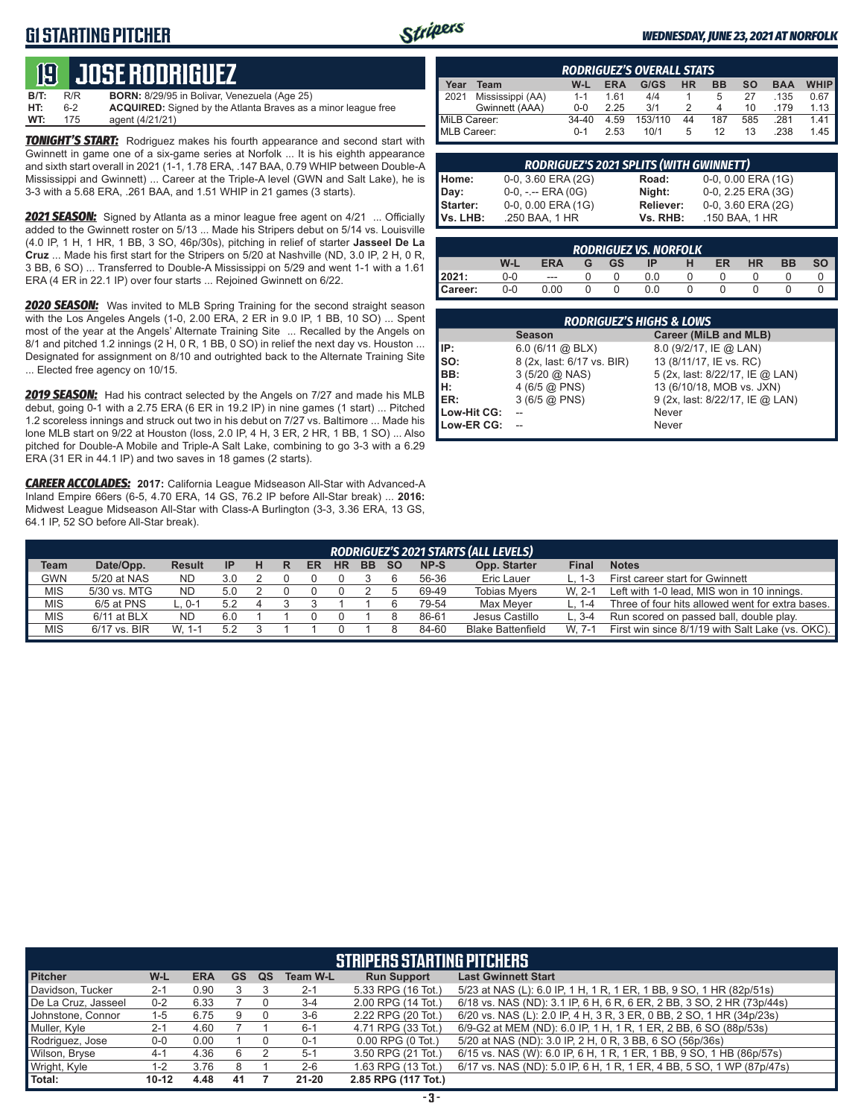# **G1 STARTING PITCHER**



#### *WEDNESDAY, JUNE 23, 2021 AT NORFOLK*

# **19****JOSE RODRIGUEZ**

| <b>B/T:</b> | R/R | <b>BORN:</b> 8/29/95 in Bolivar, Venezuela (Age 25)                  |
|-------------|-----|----------------------------------------------------------------------|
| HT:         | հ-2 | <b>ACQUIRED:</b> Signed by the Atlanta Braves as a minor league free |
| WT:         | 175 | agent (4/21/21)                                                      |

**TONIGHT'S START:** Rodriguez makes his fourth appearance and second start with Gwinnett in game one of a six-game series at Norfolk ... It is his eighth appearance and sixth start overall in 2021 (1-1, 1.78 ERA, .147 BAA, 0.79 WHIP between Double-A Mississippi and Gwinnett) ... Career at the Triple-A level (GWN and Salt Lake), he is 3-3 with a 5.68 ERA, .261 BAA, and 1.51 WHIP in 21 games (3 starts).

*2021 SEASON:* Signed by Atlanta as a minor league free agent on 4/21 ... Officially added to the Gwinnett roster on 5/13 ... Made his Stripers debut on 5/14 vs. Louisville (4.0 IP, 1 H, 1 HR, 1 BB, 3 SO, 46p/30s), pitching in relief of starter **Jasseel De La Cruz** ... Made his first start for the Stripers on 5/20 at Nashville (ND, 3.0 IP, 2 H, 0 R, 3 BB, 6 SO) ... Transferred to Double-A Mississippi on 5/29 and went 1-1 with a 1.61 ERA (4 ER in 22.1 IP) over four starts ... Rejoined Gwinnett on 6/22.

*2020 SEASON:* Was invited to MLB Spring Training for the second straight season with the Los Angeles Angels (1-0, 2.00 ERA, 2 ER in 9.0 IP, 1 BB, 10 SO) ... Spent most of the year at the Angels' Alternate Training Site ... Recalled by the Angels on 8/1 and pitched 1.2 innings (2 H, 0 R, 1 BB, 0 SO) in relief the next day vs. Houston ... Designated for assignment on 8/10 and outrighted back to the Alternate Training Site ... Elected free agency on 10/15.

*2019 SEASON:* Had his contract selected by the Angels on 7/27 and made his MLB debut, going 0-1 with a 2.75 ERA (6 ER in 19.2 IP) in nine games (1 start) ... Pitched 1.2 scoreless innings and struck out two in his debut on 7/27 vs. Baltimore ... Made his lone MLB start on 9/22 at Houston (loss, 2.0 IP, 4 H, 3 ER, 2 HR, 1 BB, 1 SO) ... Also pitched for Double-A Mobile and Triple-A Salt Lake, combining to go 3-3 with a 6.29 ERA (31 ER in 44.1 IP) and two saves in 18 games (2 starts).

*CAREER ACCOLADES:* **2017:** California League Midseason All-Star with Advanced-A Inland Empire 66ers (6-5, 4.70 ERA, 14 GS, 76.2 IP before All-Star break) ... **2016:** Midwest League Midseason All-Star with Class-A Burlington (3-3, 3.36 ERA, 13 GS, 64.1 IP, 52 SO before All-Star break).

|              | <b>RODRIGUEZ'S OVERALL STATS</b> |           |            |         |           |           |     |            |             |
|--------------|----------------------------------|-----------|------------|---------|-----------|-----------|-----|------------|-------------|
| Year         | Team                             | W-L       | <b>ERA</b> | G/GS    | <b>HR</b> | <b>BB</b> | SΟ  | <b>BAA</b> | <b>WHIP</b> |
| 2021         | Mississippi (AA)                 | $1 - 1$   | 1.61       | 4/4     |           | 5         | 27  | .135       | 0.67        |
|              | Gwinnett (AAA)                   | $0 - 0$   | 2.25       | 3/1     | 2         | 4         | 10  | .179       | 1.13        |
| MiLB Career: |                                  | $34 - 40$ | 4.59       | 153/110 | 44        | 187       | 585 | .281       | 1.41        |
| MLB Career:  |                                  | $0 - 1$   | 2.53       | 10/1    | 5         | 12        | 13  | .238       | 1.45        |

| <b>RODRIGUEZ'S 2021 SPLITS (WITH GWINNETT)</b> |                       |           |                           |  |  |  |  |  |  |
|------------------------------------------------|-----------------------|-----------|---------------------------|--|--|--|--|--|--|
| Home:                                          | 0-0, 3.60 ERA (2G)    | Road:     | $0-0$ , $0.00$ ERA $(1G)$ |  |  |  |  |  |  |
|                                                | $0-0, - -$ ERA $(0G)$ | Night:    | 0-0, 2.25 ERA (3G)        |  |  |  |  |  |  |
|                                                | 0-0, 0.00 ERA (1G)    | Reliever: | 0-0, 3.60 ERA (2G)        |  |  |  |  |  |  |
| Day:<br>Starter:<br>Vs. LHB:                   | .250 BAA, 1 HR        | Vs. RHB:  | .150 BAA, 1 HR            |  |  |  |  |  |  |

| <b>RODRIGUEZ VS. NORFOLK</b> |         |            |   |           |     |   |    |           |           |           |
|------------------------------|---------|------------|---|-----------|-----|---|----|-----------|-----------|-----------|
|                              | W-L     | <b>ERA</b> | G | <b>GS</b> | ΙP  | н | ER | <b>HR</b> | <b>BB</b> | <b>SO</b> |
| 2021:                        | 0-0     | $- - -$    |   |           |     |   |    |           |           |           |
| Career:                      | $0 - 0$ | 0.00       |   |           | 0.0 |   |    |           |           |           |

| <b>RODRIGUEZ'S HIGHS &amp; LOWS</b> |                            |                                 |  |  |  |  |  |  |  |
|-------------------------------------|----------------------------|---------------------------------|--|--|--|--|--|--|--|
|                                     | <b>Season</b>              | <b>Career (MiLB and MLB)</b>    |  |  |  |  |  |  |  |
| IIP:                                | $6.0$ (6/11 @ BLX)         | 8.0 (9/2/17, IE @ LAN)          |  |  |  |  |  |  |  |
| Iso:                                | 8 (2x, last: 6/17 vs. BIR) | 13 (8/11/17, IE vs. RC)         |  |  |  |  |  |  |  |
| BB:                                 | $3(5/20 \text{ @ NASA})$   | 5 (2x, last: 8/22/17, IE @ LAN) |  |  |  |  |  |  |  |
| Iн:                                 | 4 (6/5 @ PNS)              | 13 (6/10/18, MOB vs. JXN)       |  |  |  |  |  |  |  |
| <b>IER:</b>                         | $3(6/5)$ ( $\odot$ PNS)    | 9 (2x, last: 8/22/17, IE @ LAN) |  |  |  |  |  |  |  |
| Low-Hit CG:                         |                            | Never                           |  |  |  |  |  |  |  |
| Low-ER CG:                          |                            | Never                           |  |  |  |  |  |  |  |

|             | <b>RODRIGUEZ'S 2021 STARTS (ALL LEVELS)</b> |               |           |  |  |    |           |           |           |       |                          |              |                                                  |
|-------------|---------------------------------------------|---------------|-----------|--|--|----|-----------|-----------|-----------|-------|--------------------------|--------------|--------------------------------------------------|
| <b>Team</b> | Date/Opp.                                   | <b>Result</b> | <b>IP</b> |  |  | ER | <b>HR</b> | <b>BB</b> | <b>SO</b> | NP-S  | Opp. Starter             | <b>Final</b> | <b>Notes</b>                                     |
| <b>GWN</b>  | 5/20 at NAS                                 | <b>ND</b>     | 3.0       |  |  |    |           |           |           | 56-36 | Eric Lauer               | L. 1-3       | First career start for Gwinnett                  |
| <b>MIS</b>  | 5/30 vs. MTG                                | ND.           | 5.0       |  |  |    |           |           |           | 69-49 | Tobias Mvers             | W. 2-1       | Left with 1-0 lead, MIS won in 10 innings.       |
| <b>MIS</b>  | 6/5 at PNS                                  | ∟. 0-1        | 5.2       |  |  |    |           |           |           | 79-54 | Max Meyer                | L. 1-4       | Three of four hits allowed went for extra bases. |
| <b>MIS</b>  | $6/11$ at BLX                               | <b>ND</b>     | 6.0       |  |  |    |           |           |           | 86-61 | Jesus Castillo           | $L.3 - 4$    | Run scored on passed ball, double play.          |
| <b>MIS</b>  | 6/17 vs. BIR                                | W. 1-1        | 52        |  |  |    |           |           |           | 84-60 | <b>Blake Battenfield</b> | W. 7-1       | First win since 8/1/19 with Salt Lake (vs. OKC). |

|                     | <b>STRIPERS STARTING PITCHERS</b> |            |           |    |                 |                       |                                                                       |  |
|---------------------|-----------------------------------|------------|-----------|----|-----------------|-----------------------|-----------------------------------------------------------------------|--|
| <b>Pitcher</b>      | W-L                               | <b>ERA</b> | <b>GS</b> | QS | <b>Team W-L</b> | <b>Run Support</b>    | <b>Last Gwinnett Start</b>                                            |  |
| Davidson, Tucker    | $2 - 1$                           | 0.90       |           |    | $2 - 1$         | 5.33 RPG (16 Tot.)    | 5/23 at NAS (L): 6.0 IP, 1 H, 1 R, 1 ER, 1 BB, 9 SO, 1 HR (82p/51s)   |  |
| De La Cruz, Jasseel | $0 - 2$                           | 6.33       |           |    | $3 - 4$         | 2.00 RPG (14 Tot.)    | 6/18 vs. NAS (ND): 3.1 IP, 6 H, 6 R, 6 ER, 2 BB, 3 SO, 2 HR (73p/44s) |  |
| Johnstone, Connor   | $1 - 5$                           | 6.75       | 9         |    | $3-6$           | 2.22 RPG (20 Tot.)    | 6/20 vs. NAS (L): 2.0 IP, 4 H, 3 R, 3 ER, 0 BB, 2 SO, 1 HR (34p/23s)  |  |
| Muller, Kyle        | $2 - 1$                           | 4.60       |           |    | $6 - 1$         | 4.71 RPG (33 Tot.)    | 6/9-G2 at MEM (ND): 6.0 IP, 1 H, 1 R, 1 ER, 2 BB, 6 SO (88p/53s)      |  |
| Rodriguez, Jose     | $0-0$                             | 0.00       |           |    | $0 - 1$         | $0.00$ RPG $(0$ Tot.) | 5/20 at NAS (ND): 3.0 IP, 2 H, 0 R, 3 BB, 6 SO (56p/36s)              |  |
| Wilson, Bryse       | $4 - 1$                           | 4.36       | 6         |    | $5 - 1$         | 3.50 RPG (21 Tot.)    | 6/15 vs. NAS (W): 6.0 IP, 6 H, 1 R, 1 ER, 1 BB, 9 SO, 1 HB (86p/57s)  |  |
| Wright, Kyle        | 1-2                               | 3.76       | 8         |    | $2 - 6$         | 1.63 RPG (13 Tot.)    | 6/17 vs. NAS (ND): 5.0 IP, 6 H, 1 R, 1 ER, 4 BB, 5 SO, 1 WP (87p/47s) |  |
| Total:              | $10 - 12$                         | 4.48       | 41        |    | $21 - 20$       | 2.85 RPG (117 Tot.)   |                                                                       |  |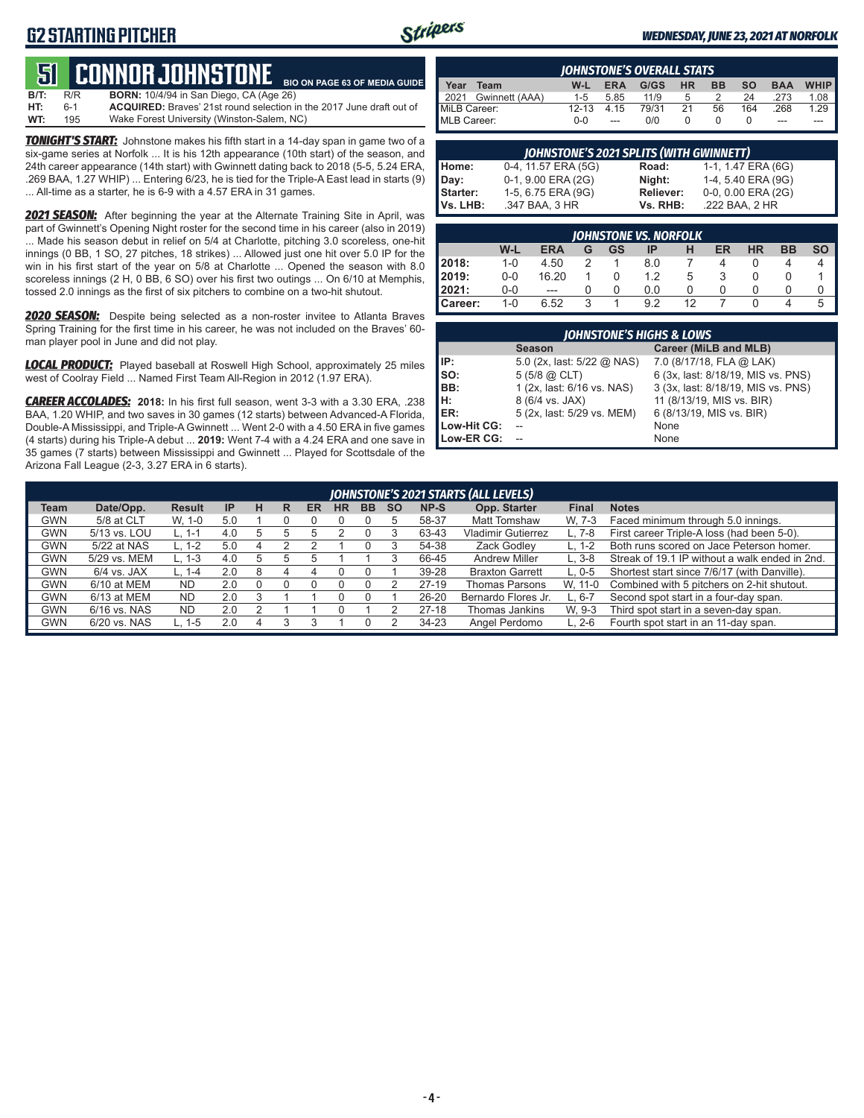# **G2 STARTING PITCHER**



**BIO ON PAGE 63 OF MEDIA GUIDE**

#### *WEDNESDAY, JUNE 23, 2021 AT NORFOLK*

# **51****CONNOR JOHNSTONE**

**B/T:** R/R **BORN:** 10/4/94 in San Diego, CA (Age 26)<br>**HT:** 6-1 **ACQUIRED:** Braves' 21st round selection i **HT:** 6-1 **ACQUIRED:** Braves' 21st round selection in the 2017 June draft out of Wake Forest University (Winston-Salem, NC)

*TONIGHT'S START:* Johnstone makes his fifth start in a 14-day span in game two of a six-game series at Norfolk ... It is his 12th appearance (10th start) of the season, and 24th career appearance (14th start) with Gwinnett dating back to 2018 (5-5, 5.24 ERA, .269 BAA, 1.27 WHIP) ... Entering 6/23, he is tied for the Triple-A East lead in starts (9) ... All-time as a starter, he is 6-9 with a 4.57 ERA in 31 games.

*2021 SEASON:* After beginning the year at the Alternate Training Site in April, was part of Gwinnett's Opening Night roster for the second time in his career (also in 2019) ... Made his season debut in relief on 5/4 at Charlotte, pitching 3.0 scoreless, one-hit innings (0 BB, 1 SO, 27 pitches, 18 strikes) ... Allowed just one hit over 5.0 IP for the win in his first start of the year on 5/8 at Charlotte ... Opened the season with 8.0 scoreless innings (2 H, 0 BB, 6 SO) over his first two outings ... On 6/10 at Memphis, tossed 2.0 innings as the first of six pitchers to combine on a two-hit shutout.

*2020 SEASON:* Despite being selected as a non-roster invitee to Atlanta Braves Spring Training for the first time in his career, he was not included on the Braves' 60 man player pool in June and did not play.

*LOCAL PRODUCT:* Played baseball at Roswell High School, approximately 25 miles west of Coolray Field ... Named First Team All-Region in 2012 (1.97 ERA).

*CAREER ACCOLADES:* **2018:** In his first full season, went 3-3 with a 3.30 ERA, .238 BAA, 1.20 WHIP, and two saves in 30 games (12 starts) between Advanced-A Florida, Double-A Mississippi, and Triple-A Gwinnett ... Went 2-0 with a 4.50 ERA in five games (4 starts) during his Triple-A debut ... **2019:** Went 7-4 with a 4.24 ERA and one save in 35 games (7 starts) between Mississippi and Gwinnett ... Played for Scottsdale of the Arizona Fall League (2-3, 3.27 ERA in 6 starts).

|              | <b>IOHNSTONE'S OVERALL STATS</b> |           |            |       |    |           |           |            |             |
|--------------|----------------------------------|-----------|------------|-------|----|-----------|-----------|------------|-------------|
| Year         | Team                             | W-L       | <b>ERA</b> | G/GS  | HR | <b>BB</b> | <b>SO</b> | <b>BAA</b> | <b>WHIP</b> |
| 2021         | Gwinnett (AAA)                   | $1 - 5$   | 5.85       | 11/9  | 5  |           | 24        | .273       | 1.08        |
| MiLB Career: |                                  | $12 - 13$ | 4 15       | 79/31 | 21 | 56        | 164       | .268       | 1.29        |
| MLB Career:  |                                  | $0 - 0$   | ---        | n/n   |    |           |           | ---        |             |

| JOHNSTONE'S 2021 SPLITS (WITH GWINNETT) |                     |           |                    |  |  |  |  |  |  |
|-----------------------------------------|---------------------|-----------|--------------------|--|--|--|--|--|--|
| Home:                                   | 0-4, 11.57 ERA (5G) | Road:     | 1-1, 1.47 ERA (6G) |  |  |  |  |  |  |
| Day:                                    | 0-1, 9.00 ERA (2G)  | Niaht:    | 1-4, 5.40 ERA (9G) |  |  |  |  |  |  |
| Starter:                                | 1-5, 6.75 ERA (9G)  | Reliever: | 0-0, 0.00 ERA (2G) |  |  |  |  |  |  |
| Vs. LHB:                                | .347 BAA, 3 HR      | Vs. RHB:  | .222 BAA, 2 HR     |  |  |  |  |  |  |

|                | <b>IOHNSTONE VS. NORFOLK</b> |            |   |    |     |              |    |    |    |           |
|----------------|------------------------------|------------|---|----|-----|--------------|----|----|----|-----------|
|                | W-L                          | <b>ERA</b> | G | GS | ΙP  | н            | ER | HR | BB | <b>SO</b> |
| 2018:          | $1 - 0$                      | 4.50       |   |    | 8.0 |              |    |    | 4  | 4         |
| <b>2019:</b>   | $0 - 0$                      | 16.20      |   |    | 1.2 | 5            | 3  |    |    |           |
| 12021:         | 0-0                          | $---$      | Ω | 0  | 0.0 | $\mathbf{I}$ |    |    |    | O         |
| <b>Career:</b> | $1 - 0$                      | 6.52       | 3 |    | 92  | 12           |    |    | 4  | 5         |

|             | <b>JOHNSTONE'S HIGHS &amp; LOWS</b> |                                    |  |  |  |  |  |  |  |
|-------------|-------------------------------------|------------------------------------|--|--|--|--|--|--|--|
|             | <b>Season</b>                       | Career (MiLB and MLB)              |  |  |  |  |  |  |  |
| IP:         | 5.0 (2x, last: 5/22 @ NAS)          | 7.0 (8/17/18, FLA @ LAK)           |  |  |  |  |  |  |  |
| SO:         | $5(5/8)$ $\omega$ CLT)              | 6 (3x, last: 8/18/19, MIS vs. PNS) |  |  |  |  |  |  |  |
| BB:         | 1 (2x, last: 6/16 vs. NAS)          | 3 (3x, last: 8/18/19, MIS vs. PNS) |  |  |  |  |  |  |  |
| н:          | 8 (6/4 vs. JAX)                     | 11 (8/13/19, MIS vs. BIR)          |  |  |  |  |  |  |  |
| ER:         | 5 (2x, last: 5/29 vs. MEM)          | 6 (8/13/19, MIS vs. BIR)           |  |  |  |  |  |  |  |
| Low-Hit CG: |                                     | None                               |  |  |  |  |  |  |  |
| Low-ER CG:  |                                     | None                               |  |  |  |  |  |  |  |

|             | JOHNSTONE'S 2021 STARTS (ALL LEVELS) |               |                |   |   |    |    |           |           |       |                           |              |                                                |
|-------------|--------------------------------------|---------------|----------------|---|---|----|----|-----------|-----------|-------|---------------------------|--------------|------------------------------------------------|
| <b>Team</b> | Date/Opp.                            | <b>Result</b> | IP             | н | R | ER | HR | <b>BB</b> | <b>SO</b> | NP-S  | Opp. Starter              | <b>Final</b> | <b>Notes</b>                                   |
| GWN         | 5/8 at CLT                           | W. 1-0        | 5.0            |   |   |    |    |           |           | 58-37 | Matt Tomshaw              | W. 7-3       | Faced minimum through 5.0 innings.             |
| GWN         | 5/13 vs. LOU                         | L. 1-1        | 4 <sub>c</sub> |   |   |    |    |           |           | 63-43 | <b>Vladimir Gutierrez</b> | $L.7-8$      | First career Triple-A loss (had been 5-0).     |
| <b>GWN</b>  | 5/22 at NAS                          | $L. 1-2$      | 5.0            |   |   |    |    |           |           | 54-38 | Zack Godlev               | L. 1-2       | Both runs scored on Jace Peterson homer.       |
| <b>GWN</b>  | 5/29 vs. MEM                         | $L. 1-3$      | 4.0            |   |   |    |    |           |           | 66-45 | <b>Andrew Miller</b>      | $L.3-8$      | Streak of 19.1 IP without a walk ended in 2nd. |
| <b>GWN</b>  | $6/4$ vs. JAX                        | L. $1-4$      | 2.0            | 8 |   |    |    |           |           | 39-28 | <b>Braxton Garrett</b>    | $L.0-5$      | Shortest start since 7/6/17 (with Danville).   |
| <b>GWN</b>  | $6/10$ at MEM                        | <b>ND</b>     | 2.0            |   |   |    |    |           |           | 27-19 | Thomas Parsons            | W. 11-0      | Combined with 5 pitchers on 2-hit shutout.     |
| GWN         | 6/13 at MEM                          | <b>ND</b>     | 2.0            |   |   |    |    |           |           | 26-20 | Bernardo Flores Jr.       | $L.6-7$      | Second spot start in a four-day span.          |
| <b>GWN</b>  | 6/16 vs. NAS                         | <b>ND</b>     | 2.0            |   |   |    |    |           |           | 27-18 | Thomas Jankins            | W. 9-3       | Third spot start in a seven-day span.          |
| GWN         | 6/20 vs. NAS                         | $L. 1-5$      | 2.0            |   |   |    |    |           |           | 34-23 | Angel Perdomo             | $L. 2-6$     | Fourth spot start in an 11-day span.           |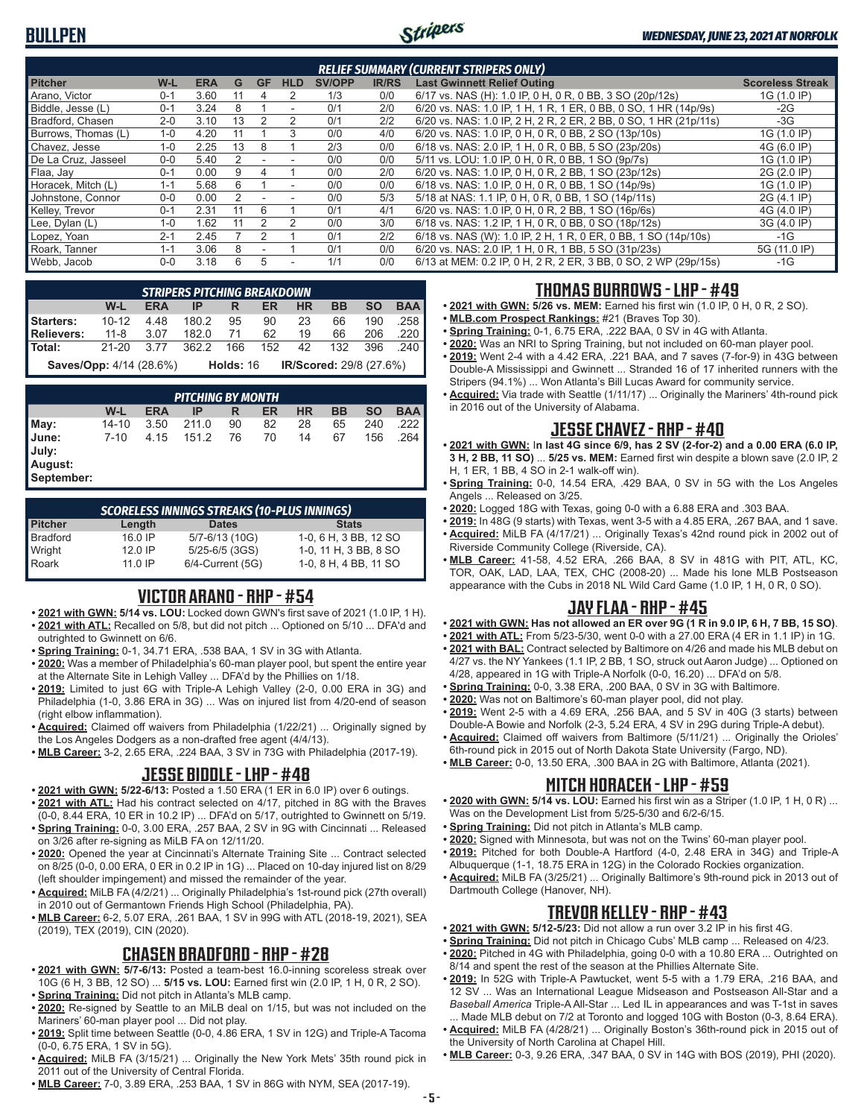# **BULLPEN**



| <b>RELIEF SUMMARY (CURRENT STRIPERS ONLY)</b> |         |            |    |           |                          |               |              |                                                                  |                         |
|-----------------------------------------------|---------|------------|----|-----------|--------------------------|---------------|--------------|------------------------------------------------------------------|-------------------------|
| <b>Pitcher</b>                                | $W-L$   | <b>ERA</b> | G  | <b>GF</b> | <b>HLD</b>               | <b>SV/OPP</b> | <b>IR/RS</b> | <b>Last Gwinnett Relief Outing</b>                               | <b>Scoreless Streak</b> |
| Arano. Victor                                 | $0 - 1$ | 3.60       | 11 | 4         |                          | 1/3           | 0/0          | 6/17 vs. NAS (H): 1.0 IP, 0 H, 0 R, 0 BB, 3 SO (20p/12s)         | 1G (1.0 IP)             |
| Biddle, Jesse (L)                             | $0 - 1$ | 3.24       | 8  |           | $\overline{\phantom{0}}$ | 0/1           | 2/0          | 6/20 vs. NAS: 1.0 IP, 1 H, 1 R, 1 ER, 0 BB, 0 SO, 1 HR (14p/9s)  | $-2G$                   |
| Bradford, Chasen                              | $2 - 0$ | 3.10       | 13 |           |                          | 0/1           | 2/2          | 6/20 vs. NAS: 1.0 IP, 2 H, 2 R, 2 ER, 2 BB, 0 SO, 1 HR (21p/11s) | $-3G$                   |
| Burrows, Thomas (L)                           | $1 - 0$ | 4.20       | 11 |           | 3                        | 0/0           | 4/0          | 6/20 vs. NAS: 1.0 IP, 0 H, 0 R, 0 BB, 2 SO (13p/10s)             | 1G (1.0 IP)             |
| Chavez, Jesse                                 | $1 - 0$ | 2.25       | 13 | 8         |                          | 2/3           | 0/0          | 6/18 vs. NAS: 2.0 IP, 1 H, 0 R, 0 BB, 5 SO (23p/20s)             | 4G (6.0 IP)             |
| De La Cruz, Jasseel                           | $0 - 0$ | 5.40       | 2  |           | ٠                        | 0/0           | 0/0          | 5/11 vs. LOU: 1.0 IP, 0 H, 0 R, 0 BB, 1 SO (9p/7s)               | 1G (1.0 IP)             |
| Flaa, Jay                                     | $0 - 1$ | 0.00       | 9  | 4         |                          | 0/0           | 2/0          | 6/20 vs. NAS: 1.0 IP, 0 H, 0 R, 2 BB, 1 SO (23p/12s)             | 2G (2.0 IP)             |
| Horacek, Mitch (L)                            | $1 - 1$ | 5.68       | 6  |           | ۰                        | 0/0           | 0/0          | 6/18 vs. NAS: 1.0 IP, 0 H, 0 R, 0 BB, 1 SO (14p/9s)              | 1G (1.0 IP)             |
| Johnstone, Connor                             | $0 - 0$ | 0.00       |    |           |                          | 0/0           | 5/3          | 5/18 at NAS: 1.1 IP, 0 H, 0 R, 0 BB, 1 SO (14p/11s)              | 2G (4.1 IP)             |
| Kelley, Trevor                                | $0 - 1$ | 2.31       | 11 | 6         |                          | 0/1           | 4/1          | 6/20 vs. NAS: 1.0 IP, 0 H, 0 R, 2 BB, 1 SO (16p/6s)              | 4G (4.0 IP)             |
| Lee, Dylan (L)                                | $1 - 0$ | .62        | 11 |           | $\mathfrak{p}$           | 0/0           | 3/0          | 6/18 vs. NAS: 1.2 IP, 1 H, 0 R, 0 BB, 0 SO (18p/12s)             | 3G (4.0 IP)             |
| Lopez, Yoan                                   | $2 - 1$ | 2.45       |    |           |                          | 0/1           | 2/2          | 6/18 vs. NAS (W): 1.0 IP, 2 H, 1 R, 0 ER, 0 BB, 1 SO (14p/10s)   | $-1G$                   |
| Roark. Tanner                                 | $1 - 1$ | 3.06       | 8  |           |                          | 0/1           | 0/0          | 6/20 vs. NAS: 2.0 IP, 1 H, 0 R, 1 BB, 5 SO (31p/23s)             | 5G (11.0 IP)            |
| Webb, Jacob                                   | $0 - 0$ | 3.18       | 6  | 5         | $\overline{\phantom{a}}$ | 1/1           | 0/0          | 6/13 at MEM: 0.2 IP, 0 H, 2 R, 2 ER, 3 BB, 0 SO, 2 WP (29p/15s)  | $-1G$                   |

|                                      | <b>STRIPERS PITCHING BREAKDOWN</b> |            |                              |      |                                   |       |                      |           |            |  |
|--------------------------------------|------------------------------------|------------|------------------------------|------|-----------------------------------|-------|----------------------|-----------|------------|--|
|                                      | W-L                                | <b>ERA</b> | IP -                         | R ER |                                   | HR -  | <b>BB</b>            | <b>SO</b> | <b>BAA</b> |  |
| <b>Starters:</b> 10-12 4.48 180.2 95 |                                    |            |                              |      |                                   | 90 23 |                      | 66 190    | .258       |  |
| Relievers:                           | 11-8 3.07 182.0 71                 |            |                              |      |                                   |       | 62  19  66  206  220 |           |            |  |
| l Total:                             | 21-20 3.77                         |            | 362.2 166 152 42 132 396 240 |      |                                   |       |                      |           |            |  |
| <b>Saves/Opp:</b> 4/14 (28.6%)       |                                    |            |                              |      | Holds: 16 IR/Scored: 29/8 (27.6%) |       |                      |           |            |  |

*PITCHING BY MONTH* **W-L ERA IP R ER HR BB SO BAA May:** 14-10 3.50 211.0 90 82 28 65 240 .222 **June:** 7-10 4.15 151.2 76 70 14 67 156 .264 **July: August: September:**

| <b>SCORELESS INNINGS STREAKS (10-PLUS INNINGS)</b> |         |                       |                       |  |  |  |  |
|----------------------------------------------------|---------|-----------------------|-----------------------|--|--|--|--|
| <b>Pitcher</b>                                     | Length  | <b>Dates</b>          | <b>Stats</b>          |  |  |  |  |
| <b>Bradford</b>                                    | 16.0 IP | 5/7-6/13 (10G)        | 1-0, 6 H, 3 BB, 12 SO |  |  |  |  |
| Wright                                             | 120IP   | $5/25 - 6/5$ (3GS)    | 1-0, 11 H, 3 BB, 8 SO |  |  |  |  |
| Roark                                              | 11 0 IP | $6/4$ -Current $(5G)$ | 1-0, 8 H, 4 BB, 11 SO |  |  |  |  |

# **VICTOR ARANO - RHP - #54**

- **• 2021 with GWN: 5/14 vs. LOU:** Locked down GWN's first save of 2021 (1.0 IP, 1 H). **• 2021 with ATL:** Recalled on 5/8, but did not pitch ... Optioned on 5/10 ... DFA'd and outrighted to Gwinnett on 6/6.
- **• Spring Training:** 0-1, 34.71 ERA, .538 BAA, 1 SV in 3G with Atlanta.
- **• 2020:** Was a member of Philadelphia's 60-man player pool, but spent the entire year at the Alternate Site in Lehigh Valley ... DFA'd by the Phillies on 1/18.
- **• 2019:** Limited to just 6G with Triple-A Lehigh Valley (2-0, 0.00 ERA in 3G) and Philadelphia (1-0, 3.86 ERA in 3G) ... Was on injured list from 4/20-end of season (right elbow inflammation).
- **• Acquired:** Claimed off waivers from Philadelphia (1/22/21) ... Originally signed by the Los Angeles Dodgers as a non-drafted free agent (4/4/13).
- **• MLB Career:** 3-2, 2.65 ERA, .224 BAA, 3 SV in 73G with Philadelphia (2017-19).

### **JESSE BIDDLE - LHP - #48**

- **• 2021 with GWN: 5/22-6/13:** Posted a 1.50 ERA (1 ER in 6.0 IP) over 6 outings.
- **• 2021 with ATL:** Had his contract selected on 4/17, pitched in 8G with the Braves
- (0-0, 8.44 ERA, 10 ER in 10.2 IP) ... DFA'd on 5/17, outrighted to Gwinnett on 5/19. **• Spring Training:** 0-0, 3.00 ERA, .257 BAA, 2 SV in 9G with Cincinnati ... Released on 3/26 after re-signing as MiLB FA on 12/11/20.
- **• 2020:** Opened the year at Cincinnati's Alternate Training Site ... Contract selected on 8/25 (0-0, 0.00 ERA, 0 ER in 0.2 IP in 1G) ... Placed on 10-day injured list on 8/29 (left shoulder impingement) and missed the remainder of the year.
- **• Acquired:** MiLB FA (4/2/21) ... Originally Philadelphia's 1st-round pick (27th overall) in 2010 out of Germantown Friends High School (Philadelphia, PA).
- **• MLB Career:** 6-2, 5.07 ERA, .261 BAA, 1 SV in 99G with ATL (2018-19, 2021), SEA (2019), TEX (2019), CIN (2020).

### **CHASEN BRADFORD - RHP - #28**

- **• 2021 with GWN: 5/7-6/13:** Posted a team-best 16.0-inning scoreless streak over 10G (6 H, 3 BB, 12 SO) ... **5/15 vs. LOU:** Earned first win (2.0 IP, 1 H, 0 R, 2 SO). **• Spring Training:** Did not pitch in Atlanta's MLB camp.
- **• 2020:** Re-signed by Seattle to an MiLB deal on 1/15, but was not included on the Mariners' 60-man player pool ... Did not play.
- **• 2019:** Split time between Seattle (0-0, 4.86 ERA, 1 SV in 12G) and Triple-A Tacoma (0-0, 6.75 ERA, 1 SV in 5G).
- **• Acquired:** MiLB FA (3/15/21) ... Originally the New York Mets' 35th round pick in 2011 out of the University of Central Florida.
- **• MLB Career:** 7-0, 3.89 ERA, .253 BAA, 1 SV in 86G with NYM, SEA (2017-19).

# **THOMAS BURROWS - LHP - #49**

- **• 2021 with GWN: 5/26 vs. MEM:** Earned his first win (1.0 IP, 0 H, 0 R, 2 SO).
- **• MLB.com Prospect Rankings:** #21 (Braves Top 30).
- **• Spring Training:** 0-1, 6.75 ERA, .222 BAA, 0 SV in 4G with Atlanta.
- **• 2020:** Was an NRI to Spring Training, but not included on 60-man player pool. **• 2019:** Went 2-4 with a 4.42 ERA, .221 BAA, and 7 saves (7-for-9) in 43G between Double-A Mississippi and Gwinnett ... Stranded 16 of 17 inherited runners with the
- Stripers (94.1%) ... Won Atlanta's Bill Lucas Award for community service. **• Acquired:** Via trade with Seattle (1/11/17) ... Originally the Mariners' 4th-round pick in 2016 out of the University of Alabama.

### **JESSE CHAVEZ - RHP - #40**

- **• 2021 with GWN:** I**n last 4G since 6/9, has 2 SV (2-for-2) and a 0.00 ERA (6.0 IP, 3 H, 2 BB, 11 SO)** ... **5/25 vs. MEM:** Earned first win despite a blown save (2.0 IP, 2 H, 1 ER, 1 BB, 4 SO in 2-1 walk-off win).
- **• Spring Training:** 0-0, 14.54 ERA, .429 BAA, 0 SV in 5G with the Los Angeles Angels ... Released on 3/25.
- **• 2020:** Logged 18G with Texas, going 0-0 with a 6.88 ERA and .303 BAA.
- **• 2019:** In 48G (9 starts) with Texas, went 3-5 with a 4.85 ERA, .267 BAA, and 1 save. **• Acquired:** MiLB FA (4/17/21) ... Originally Texas's 42nd round pick in 2002 out of Riverside Community College (Riverside, CA).
- **• MLB Career:** 41-58, 4.52 ERA, .266 BAA, 8 SV in 481G with PIT, ATL, KC, TOR, OAK, LAD, LAA, TEX, CHC (2008-20) ... Made his lone MLB Postseason appearance with the Cubs in 2018 NL Wild Card Game (1.0 IP, 1 H, 0 R, 0 SO).

# **JAY FLAA - RHP - #45**

- **• 2021 with GWN: Has not allowed an ER over 9G (1 R in 9.0 IP, 6 H, 7 BB, 15 SO)**.
- **• 2021 with ATL:** From 5/23-5/30, went 0-0 with a 27.00 ERA (4 ER in 1.1 IP) in 1G. **• 2021 with BAL:** Contract selected by Baltimore on 4/26 and made his MLB debut on 4/27 vs. the NY Yankees (1.1 IP, 2 BB, 1 SO, struck out Aaron Judge) ... Optioned on
- 4/28, appeared in 1G with Triple-A Norfolk (0-0, 16.20) ... DFA'd on 5/8.
- **• Spring Training:** 0-0, 3.38 ERA, .200 BAA, 0 SV in 3G with Baltimore.
- **• 2020:** Was not on Baltimore's 60-man player pool, did not play.
- **• 2019:** Went 2-5 with a 4.69 ERA, .256 BAA, and 5 SV in 40G (3 starts) between Double-A Bowie and Norfolk (2-3, 5.24 ERA, 4 SV in 29G during Triple-A debut).
- **• Acquired:** Claimed off waivers from Baltimore (5/11/21) ... Originally the Orioles' 6th-round pick in 2015 out of North Dakota State University (Fargo, ND).
- **• MLB Career:** 0-0, 13.50 ERA, .300 BAA in 2G with Baltimore, Atlanta (2021).

### **MITCH HORACEK - LHP - #59**

- **• 2020 with GWN: 5/14 vs. LOU:** Earned his first win as a Striper (1.0 IP, 1 H, 0 R) ... Was on the Development List from 5/25-5/30 and 6/2-6/15.
- **• Spring Training:** Did not pitch in Atlanta's MLB camp.
- **• 2020:** Signed with Minnesota, but was not on the Twins' 60-man player pool.
- **• 2019:** Pitched for both Double-A Hartford (4-0, 2.48 ERA in 34G) and Triple-A
- Albuquerque (1-1, 18.75 ERA in 12G) in the Colorado Rockies organization. **• Acquired:** MiLB FA (3/25/21) ... Originally Baltimore's 9th-round pick in 2013 out of Dartmouth College (Hanover, NH).

### **TREVOR KELLEY - RHP - #43**

- **• 2021 with GWN: 5/12-5/23:** Did not allow a run over 3.2 IP in his first 4G.
- **• Spring Training:** Did not pitch in Chicago Cubs' MLB camp ... Released on 4/23. **• 2020:** Pitched in 4G with Philadelphia, going 0-0 with a 10.80 ERA ... Outrighted on
- 8/14 and spent the rest of the season at the Phillies Alternate Site.
- **• 2019:** In 52G with Triple-A Pawtucket, went 5-5 with a 1.79 ERA, .216 BAA, and 12 SV ... Was an International League Midseason and Postseason All-Star and a *Baseball America* Triple-A All-Star ... Led IL in appearances and was T-1st in saves ... Made MLB debut on 7/2 at Toronto and logged 10G with Boston (0-3, 8.64 ERA).
- **• Acquired:** MiLB FA (4/28/21) ... Originally Boston's 36th-round pick in 2015 out of the University of North Carolina at Chapel Hill.
- **• MLB Career:** 0-3, 9.26 ERA, .347 BAA, 0 SV in 14G with BOS (2019), PHI (2020).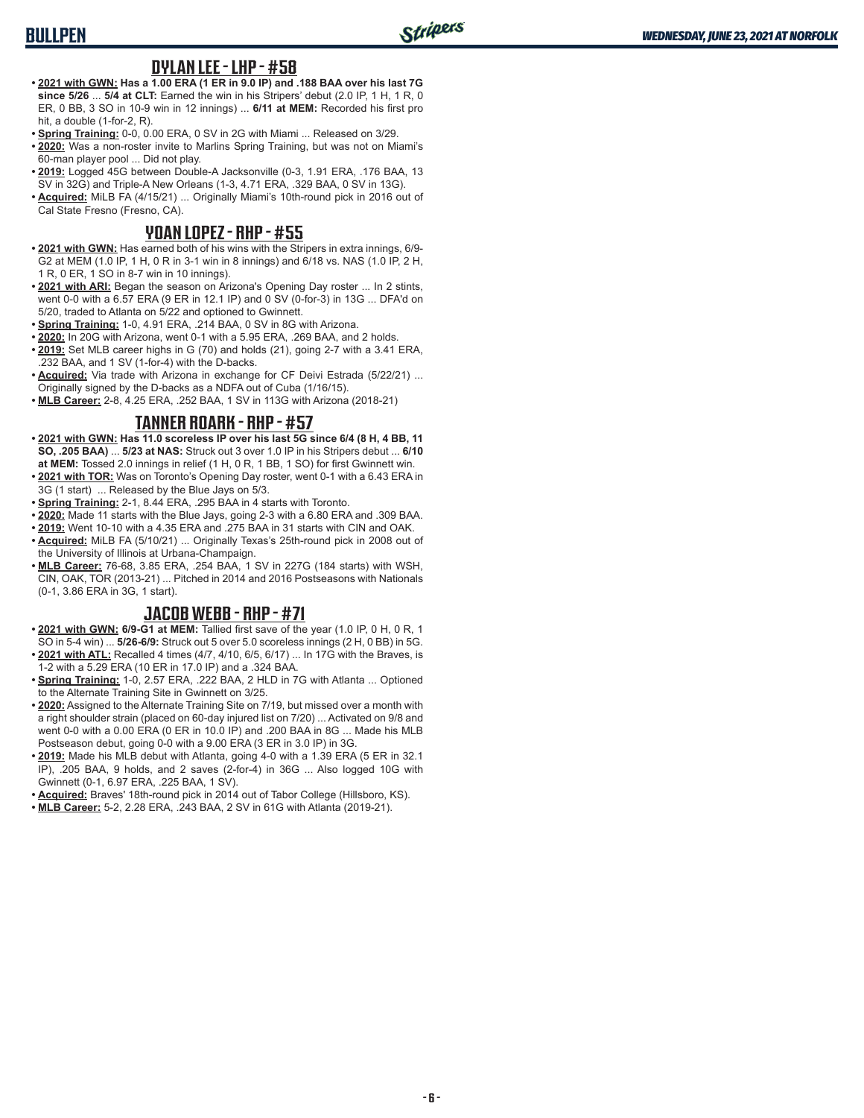# **BULLPEN**

#### **DYLAN LEE - LHP - #58**

- **• 2021 with GWN: Has a 1.00 ERA (1 ER in 9.0 IP) and .188 BAA over his last 7G since 5/26** ... **5/4 at CLT:** Earned the win in his Stripers' debut (2.0 IP, 1 H, 1 R, 0 ER, 0 BB, 3 SO in 10-9 win in 12 innings) ... **6/11 at MEM:** Recorded his first pro hit, a double (1-for-2, R).
- **• Spring Training:** 0-0, 0.00 ERA, 0 SV in 2G with Miami ... Released on 3/29.
- **• 2020:** Was a non-roster invite to Marlins Spring Training, but was not on Miami's 60-man player pool ... Did not play.
- **• 2019:** Logged 45G between Double-A Jacksonville (0-3, 1.91 ERA, .176 BAA, 13 SV in 32G) and Triple-A New Orleans (1-3, 4.71 ERA, .329 BAA, 0 SV in 13G).
- **• Acquired:** MiLB FA (4/15/21) ... Originally Miami's 10th-round pick in 2016 out of Cal State Fresno (Fresno, CA).

#### **YOAN LOPEZ - RHP - #55**

- **• 2021 with GWN:** Has earned both of his wins with the Stripers in extra innings, 6/9- G2 at MEM (1.0 IP, 1 H, 0 R in 3-1 win in 8 innings) and 6/18 vs. NAS (1.0 IP, 2 H, 1 R, 0 ER, 1 SO in 8-7 win in 10 innings).
- **• 2021 with ARI:** Began the season on Arizona's Opening Day roster ... In 2 stints, went 0-0 with a 6.57 ERA (9 ER in 12.1 IP) and 0 SV (0-for-3) in 13G ... DFA'd on 5/20, traded to Atlanta on 5/22 and optioned to Gwinnett.
- **• Spring Training:** 1-0, 4.91 ERA, .214 BAA, 0 SV in 8G with Arizona.
- **• 2020:** In 20G with Arizona, went 0-1 with a 5.95 ERA, .269 BAA, and 2 holds.
- **• 2019:** Set MLB career highs in G (70) and holds (21), going 2-7 with a 3.41 ERA, .232 BAA, and 1 SV (1-for-4) with the D-backs.
- **• Acquired:** Via trade with Arizona in exchange for CF Deivi Estrada (5/22/21) ... Originally signed by the D-backs as a NDFA out of Cuba (1/16/15).
- **• MLB Career:** 2-8, 4.25 ERA, .252 BAA, 1 SV in 113G with Arizona (2018-21)

#### **TANNER ROARK - RHP - #57**

- **• 2021 with GWN: Has 11.0 scoreless IP over his last 5G since 6/4 (8 H, 4 BB, 11 SO, .205 BAA)** ... **5/23 at NAS:** Struck out 3 over 1.0 IP in his Stripers debut ... **6/10 at MEM:** Tossed 2.0 innings in relief (1 H, 0 R, 1 BB, 1 SO) for first Gwinnett win.
- **• 2021 with TOR:** Was on Toronto's Opening Day roster, went 0-1 with a 6.43 ERA in 3G (1 start) ... Released by the Blue Jays on 5/3.
- **• Spring Training:** 2-1, 8.44 ERA, .295 BAA in 4 starts with Toronto.
- **• 2020:** Made 11 starts with the Blue Jays, going 2-3 with a 6.80 ERA and .309 BAA.
- **• 2019:** Went 10-10 with a 4.35 ERA and .275 BAA in 31 starts with CIN and OAK.
- **• Acquired:** MiLB FA (5/10/21) ... Originally Texas's 25th-round pick in 2008 out of the University of Illinois at Urbana-Champaign.
- **• MLB Career:** 76-68, 3.85 ERA, .254 BAA, 1 SV in 227G (184 starts) with WSH, CIN, OAK, TOR (2013-21) ... Pitched in 2014 and 2016 Postseasons with Nationals (0-1, 3.86 ERA in 3G, 1 start).

### **JACOB WEBB - RHP - #71**

- **• 2021 with GWN: 6/9-G1 at MEM:** Tallied first save of the year (1.0 IP, 0 H, 0 R, 1 SO in 5-4 win) ... **5/26-6/9:** Struck out 5 over 5.0 scoreless innings (2 H, 0 BB) in 5G.
- **• 2021 with ATL:** Recalled 4 times (4/7, 4/10, 6/5, 6/17) ... In 17G with the Braves, is 1-2 with a 5.29 ERA (10 ER in 17.0 IP) and a .324 BAA.
- **• Spring Training:** 1-0, 2.57 ERA, .222 BAA, 2 HLD in 7G with Atlanta ... Optioned to the Alternate Training Site in Gwinnett on 3/25.
- **• 2020:** Assigned to the Alternate Training Site on 7/19, but missed over a month with a right shoulder strain (placed on 60-day injured list on 7/20) ... Activated on 9/8 and went 0-0 with a 0.00 ERA (0 ER in 10.0 IP) and .200 BAA in 8G ... Made his MLB Postseason debut, going 0-0 with a 9.00 ERA (3 ER in 3.0 IP) in 3G.
- **• 2019:** Made his MLB debut with Atlanta, going 4-0 with a 1.39 ERA (5 ER in 32.1 IP), .205 BAA, 9 holds, and 2 saves (2-for-4) in 36G ... Also logged 10G with Gwinnett (0-1, 6.97 ERA, .225 BAA, 1 SV).
- **• Acquired:** Braves' 18th-round pick in 2014 out of Tabor College (Hillsboro, KS).
- **• MLB Career:** 5-2, 2.28 ERA, .243 BAA, 2 SV in 61G with Atlanta (2019-21).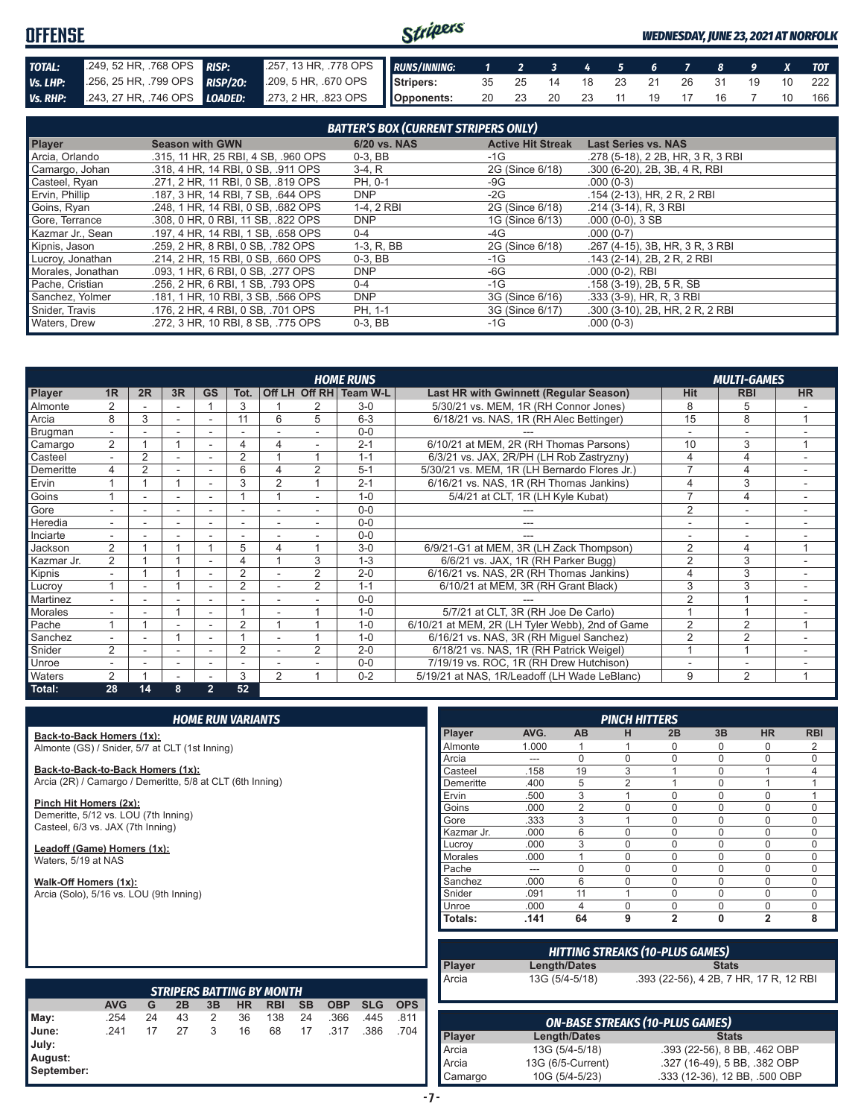#### Stripers **OFFENSE** *WEDNESDAY, JUNE 23, 2021 AT NORFOLK TOTAL:* .249, 52 HR, .768 OPS *RISP:* .257, 13 HR, .778 OPS *RUNS/INNING: 1 2 3 4 5 6 7 8 9 X TOT Vs. LHP:* .256, 25 HR, .799 OPS *RISP/2O:* .209, 5 HR, .670 OPS **Stripers:** 35 25 14 18 23 21 26 31 19 10 222 *Vs. RHP:* .243, 27 HR, .746 OPS *LOADED:* .273, 2 HR, .823 OPS **Opponents:** 20 23 20 23 11 19 17 16 7 10 166

| <b>BATTER'S BOX (CURRENT STRIPERS ONLY)</b> |                                     |              |                          |                                   |  |  |  |  |
|---------------------------------------------|-------------------------------------|--------------|--------------------------|-----------------------------------|--|--|--|--|
| <b>Player</b>                               | <b>Season with GWN</b>              | 6/20 vs. NAS | <b>Active Hit Streak</b> | <b>Last Series vs. NAS</b>        |  |  |  |  |
| Arcia, Orlando                              | .315, 11 HR, 25 RBI, 4 SB, .960 OPS | $0-3$ , BB   | -1G                      | .278 (5-18), 2 2B, HR, 3 R, 3 RBI |  |  |  |  |
| Camargo, Johan                              | .318, 4 HR, 14 RBI, 0 SB, .911 OPS  | $3-4. R$     | 2G (Since 6/18)          | $.300$ (6-20), 2B, 3B, 4 R, RBI   |  |  |  |  |
| Casteel, Ryan                               | .271, 2 HR, 11 RBI, 0 SB, .819 OPS  | PH. 0-1      | -9G                      | $.000(0-3)$                       |  |  |  |  |
| Ervin, Phillip                              | .187, 3 HR, 14 RBI, 7 SB, .644 OPS  | DNP          | $-2G$                    | .154 (2-13), HR, 2 R, 2 RBI       |  |  |  |  |
| Goins, Ryan                                 | .248. 1 HR. 14 RBI. 0 SB. .682 OPS  | 1-4.2 RBI    | 2G (Since 6/18)          | .214 (3-14). R. 3 RBI             |  |  |  |  |
| Gore, Terrance                              | .308, 0 HR, 0 RBI, 11 SB, .822 OPS  | <b>DNP</b>   | 1G (Since 6/13)          | $.000(0-0), 3SB$                  |  |  |  |  |
| Kazmar Jr., Sean                            | .197, 4 HR, 14 RBI, 1 SB, .658 OPS  | $0 - 4$      | -4G                      | $.000(0-7)$                       |  |  |  |  |
| Kipnis, Jason                               | .259, 2 HR, 8 RBI, 0 SB, .782 OPS   | 1-3, R, BB   | 2G (Since 6/18)          | .267 (4-15), 3B, HR, 3 R, 3 RBI   |  |  |  |  |
| Lucroy, Jonathan                            | .214, 2 HR, 15 RBI, 0 SB, .660 OPS  | $0-3$ , BB   | $-1G$                    | .143 (2-14), 2B, 2R, 2RBI         |  |  |  |  |
| Morales, Jonathan                           | .093, 1 HR, 6 RBI, 0 SB, .277 OPS   | <b>DNP</b>   | -6G                      | $.000(0-2)$ , RBI                 |  |  |  |  |
| Pache, Cristian                             | .256, 2 HR, 6 RBI, 1 SB, .793 OPS   | $0 - 4$      | $-1G$                    | .158 (3-19), 2B, 5 R, SB          |  |  |  |  |
| Sanchez, Yolmer                             | .181, 1 HR, 10 RBI, 3 SB, .566 OPS  | <b>DNP</b>   | 3G (Since 6/16)          | $.333(3-9)$ , HR, R, 3 RBI        |  |  |  |  |
| Snider, Travis                              | .176. 2 HR. 4 RBI. 0 SB. .701 OPS   | PH, 1-1      | 3G (Since 6/17)          | .300 (3-10), 2B, HR, 2 R, 2 RBI   |  |  |  |  |
| Waters, Drew                                | .272, 3 HR, 10 RBI, 8 SB, .775 OPS  | $0-3$ , BB   | $-1G$                    | $.000(0-3)$                       |  |  |  |  |

|                |                |                |                          |                          |                          |                |                | <b>HOME RUNS</b>       |                                                 |                | <b>MULTI-GAMES</b>       |           |
|----------------|----------------|----------------|--------------------------|--------------------------|--------------------------|----------------|----------------|------------------------|-------------------------------------------------|----------------|--------------------------|-----------|
| <b>Player</b>  | 1 <sub>R</sub> | 2R             | 3R                       | <b>GS</b>                | Tot.                     |                |                | Off LH Off RH Team W-L | <b>Last HR with Gwinnett (Regular Season)</b>   | <b>Hit</b>     | <b>RBI</b>               | <b>HR</b> |
| Almonte        |                |                |                          |                          | 3                        |                |                | $3-0$                  | 5/30/21 vs. MEM, 1R (RH Connor Jones)           | 8              | b.                       |           |
| Arcia          | 8              | 3              |                          |                          | 11                       | 6              | 5              | $6 - 3$                | 6/18/21 vs. NAS, 1R (RH Alec Bettinger)         | 15             | 8                        |           |
| Brugman        |                |                |                          |                          |                          |                |                | $0 - 0$                |                                                 |                |                          |           |
| Camargo        | 2              |                |                          |                          | 4                        |                |                | $2 - 1$                | 6/10/21 at MEM, 2R (RH Thomas Parsons)          | 10             | 3                        |           |
| Casteel        | $\overline{a}$ | $\overline{2}$ | $\sim$                   | $\sim$                   | $\overline{2}$           |                |                | $1 - 1$                | 6/3/21 vs. JAX, 2R/PH (LH Rob Zastryzny)        | 4              | 4                        |           |
| Demeritte      | 4              | $\overline{2}$ |                          |                          | 6                        |                | 2              | $5 - 1$                | 5/30/21 vs. MEM, 1R (LH Bernardo Flores Jr.)    | 7              | 4                        |           |
| Ervin          |                |                |                          |                          | 3                        | $\mathcal{P}$  |                | $2 - 1$                | 6/16/21 vs. NAS, 1R (RH Thomas Jankins)         |                | 3                        |           |
| Goins          |                |                |                          |                          |                          |                |                | $1 - 0$                | 5/4/21 at CLT, 1R (LH Kyle Kubat)               | $\overline{ }$ | 4                        |           |
| <b>Gore</b>    |                |                | $\overline{\phantom{a}}$ |                          | $\overline{\phantom{a}}$ |                |                | $0 - 0$                |                                                 | $\overline{2}$ | $\overline{\phantom{a}}$ |           |
| <b>Heredia</b> |                |                |                          |                          | $\overline{\phantom{a}}$ |                |                | $0 - 0$                |                                                 |                |                          |           |
| Inciarte       | ٠.             |                |                          |                          |                          |                |                | $0 - 0$                |                                                 |                |                          |           |
| Jackson        | $\overline{2}$ |                |                          |                          | 5                        | 4              |                | $3-0$                  | 6/9/21-G1 at MEM, 3R (LH Zack Thompson)         | $\overline{2}$ | 4                        |           |
| Kazmar Jr.     | $\overline{2}$ |                |                          |                          | 4                        |                | 3              | $1 - 3$                | 6/6/21 vs. JAX, 1R (RH Parker Bugg)             | $\overline{2}$ | 3                        |           |
| Kipnis         | ٠              |                |                          | $\overline{\phantom{a}}$ | $\overline{2}$           |                | $\overline{2}$ | $2 - 0$                | 6/16/21 vs. NAS, 2R (RH Thomas Jankins)         |                | 3                        | ۰         |
| Lucroy         |                |                |                          |                          | $\overline{2}$           |                | 2              | $1 - 1$                | 6/10/21 at MEM, 3R (RH Grant Black)             | 3              | 3                        |           |
| Martinez       |                |                |                          |                          |                          |                |                | $0 - 0$                |                                                 | $\overline{2}$ |                          |           |
| <b>Morales</b> |                |                |                          |                          |                          |                |                | $1 - 0$                | 5/7/21 at CLT, 3R (RH Joe De Carlo)             |                |                          |           |
| Pache          |                |                |                          |                          | $\overline{2}$           |                |                | $1 - 0$                | 6/10/21 at MEM, 2R (LH Tyler Webb), 2nd of Game | $\overline{2}$ | $\overline{2}$           |           |
| Sanchez        |                |                |                          |                          |                          |                |                | $1 - 0$                | 6/16/21 vs. NAS, 3R (RH Miguel Sanchez)         | $\overline{2}$ | $\overline{2}$           |           |
| Snider         | 2              |                | $\overline{\phantom{a}}$ |                          | 2                        |                | 2              | $2 - 0$                | 6/18/21 vs. NAS, 1R (RH Patrick Weigel)         |                |                          |           |
| <b>Unroe</b>   |                |                |                          |                          | $\overline{\phantom{a}}$ |                |                | $0 - 0$                | 7/19/19 vs. ROC, 1R (RH Drew Hutchison)         |                | ۰                        |           |
| <b>Waters</b>  | 2              |                |                          |                          | 3                        | $\overline{2}$ |                | $0 - 2$                | 5/19/21 at NAS, 1R/Leadoff (LH Wade LeBlanc)    | 9              | $\overline{2}$           |           |
| Total:         | 28             | 14             | 8                        | $\overline{2}$           | 52                       |                |                |                        |                                                 |                |                          |           |

|                                                           |            |    |    |    | <b>HOME RUN VARIANTS</b> |                                  |           |            |            |            |                |       |                     | <b>PINCH HITTERS</b> |                                        |                               |                |                     |
|-----------------------------------------------------------|------------|----|----|----|--------------------------|----------------------------------|-----------|------------|------------|------------|----------------|-------|---------------------|----------------------|----------------------------------------|-------------------------------|----------------|---------------------|
| Back-to-Back Homers (1x):                                 |            |    |    |    |                          |                                  |           |            |            |            | Player         | AVG.  | AB                  | н                    | 2B                                     | 3B                            | <b>HR</b>      | <b>RBI</b>          |
| Almonte (GS) / Snider, 5/7 at CLT (1st Inning)            |            |    |    |    |                          |                                  |           |            |            |            | Almonte        | 1.000 |                     |                      | 0                                      | $\Omega$                      | $\Omega$       | 2                   |
|                                                           |            |    |    |    |                          |                                  |           |            |            |            | Arcia          | ---   | $\mathbf 0$         | $\Omega$             | 0                                      | $\Omega$                      | $\Omega$       | $\mathbf 0$         |
| Back-to-Back-to-Back Homers (1x):                         |            |    |    |    |                          |                                  |           |            |            |            | Casteel        | .158  | 19                  | 3                    |                                        | $\mathbf{0}$                  |                | 4                   |
| Arcia (2R) / Camargo / Demeritte, 5/8 at CLT (6th Inning) |            |    |    |    |                          |                                  |           |            |            |            | Demeritte      | .400  | 5                   | $\overline{2}$       |                                        | $\Omega$                      |                | $\mathbf{1}$        |
|                                                           |            |    |    |    |                          |                                  |           |            |            |            | Ervin          | .500  | 3                   |                      | 0                                      | $\Omega$                      | $\Omega$       | $\mathbf{1}$        |
| Pinch Hit Homers (2x):                                    |            |    |    |    |                          |                                  |           |            |            |            | Goins          | .000  | 2                   | $\Omega$             | 0                                      | $\Omega$                      | $\Omega$       | $\mathbf 0$         |
| Demeritte, 5/12 vs. LOU (7th Inning)                      |            |    |    |    |                          |                                  |           |            |            |            | Gore           | .333  | 3                   |                      | 0                                      | $\mathbf{0}$                  | $\mathbf 0$    | $\mathsf{O}\xspace$ |
| Casteel, 6/3 vs. JAX (7th Inning)                         |            |    |    |    |                          |                                  |           |            |            |            | Kazmar Jr.     | .000  | 6                   | $\Omega$             | $\Omega$                               | $\Omega$                      | $\Omega$       | $\mathbf 0$         |
| Leadoff (Game) Homers (1x):                               |            |    |    |    |                          |                                  |           |            |            |            | Lucrov         | .000  | 3                   | $\Omega$             | 0                                      | $\Omega$                      | $\Omega$       | $\mathbf 0$         |
| Waters, 5/19 at NAS                                       |            |    |    |    |                          |                                  |           |            |            |            | <b>Morales</b> | .000  | 1                   | $\Omega$             | $\Omega$                               | $\Omega$                      | $\Omega$       | $\mathbf 0$         |
|                                                           |            |    |    |    |                          |                                  |           |            | Pache      | ---        | $\mathbf 0$    | 0     | 0                   | $\Omega$             | $\mathbf 0$                            | $\mathsf{O}\xspace$           |                |                     |
| Walk-Off Homers (1x):                                     |            |    |    |    |                          |                                  |           |            |            |            | Sanchez        | .000  | 6                   | $\Omega$             | $\Omega$                               | $\Omega$                      | $\Omega$       | $\mathbf 0$         |
| Arcia (Solo), 5/16 vs. LOU (9th Inning)                   |            |    |    |    |                          |                                  |           |            |            |            | Snider         | .091  | 11                  | $\overline{A}$       | 0                                      | $\Omega$                      | $\Omega$       | $\mathbf 0$         |
|                                                           |            |    |    |    |                          |                                  |           |            |            |            | Unroe          | .000  | 4                   | $\mathbf 0$          | $\Omega$                               | $\Omega$                      | $\mathbf 0$    | $\mathbf 0$         |
|                                                           |            |    |    |    |                          |                                  |           |            |            |            | Totals:        | .141  | 64                  | 9                    | $\overline{2}$                         | 0                             | $\overline{2}$ | 8                   |
|                                                           |            |    |    |    |                          |                                  |           |            |            |            |                |       |                     |                      | <b>HITTING STREAKS (10-PLUS GAMES)</b> |                               |                |                     |
|                                                           |            |    |    |    |                          |                                  |           |            |            |            | Player         |       | Length/Dates        |                      |                                        | <b>Stats</b>                  |                |                     |
|                                                           |            |    |    |    |                          |                                  |           |            |            |            | Arcia          |       | 13G (5/4-5/18)      |                      | .393 (22-56), 4 2B, 7 HR, 17 R, 12 RBI |                               |                |                     |
|                                                           |            |    |    |    |                          | <b>STRIPERS BATTING BY MONTH</b> |           |            |            |            |                |       |                     |                      |                                        |                               |                |                     |
|                                                           | <b>AVG</b> | G  | 2B | 3B | <b>HR</b>                | <b>RBI</b>                       | <b>SB</b> | <b>OBP</b> | <b>SLG</b> | <b>OPS</b> |                |       |                     |                      |                                        |                               |                |                     |
| May:                                                      | .254       | 24 | 43 | 2  | 36                       | 138                              | 24        | .366       | .445       | .811       |                |       |                     |                      | <b>ON-BASE STREAKS (10-PLUS GAMES)</b> |                               |                |                     |
| June:                                                     | .241       | 17 | 27 | 3  | 16                       | 68                               | 17        | .317       | .386       | .704       | Player         |       | <b>Length/Dates</b> |                      |                                        | <b>Stats</b>                  |                |                     |
| July:                                                     |            |    |    |    |                          |                                  |           |            |            |            | Arcia          |       | 13G (5/4-5/18)      |                      |                                        | .393 (22-56), 8 BB, .462 OBP  |                |                     |
| August:                                                   |            |    |    |    |                          |                                  |           |            |            |            |                |       |                     |                      |                                        |                               |                |                     |
| September:                                                |            |    |    |    |                          |                                  |           |            |            |            | Arcia          |       | 13G (6/5-Current)   |                      |                                        | .327 (16-49), 5 BB, .382 OBP  |                |                     |
|                                                           |            |    |    |    |                          |                                  |           |            |            |            | Camargo        |       | 10G (5/4-5/23)      |                      |                                        | .333 (12-36), 12 BB, .500 OBP |                |                     |

| - |  |
|---|--|
|   |  |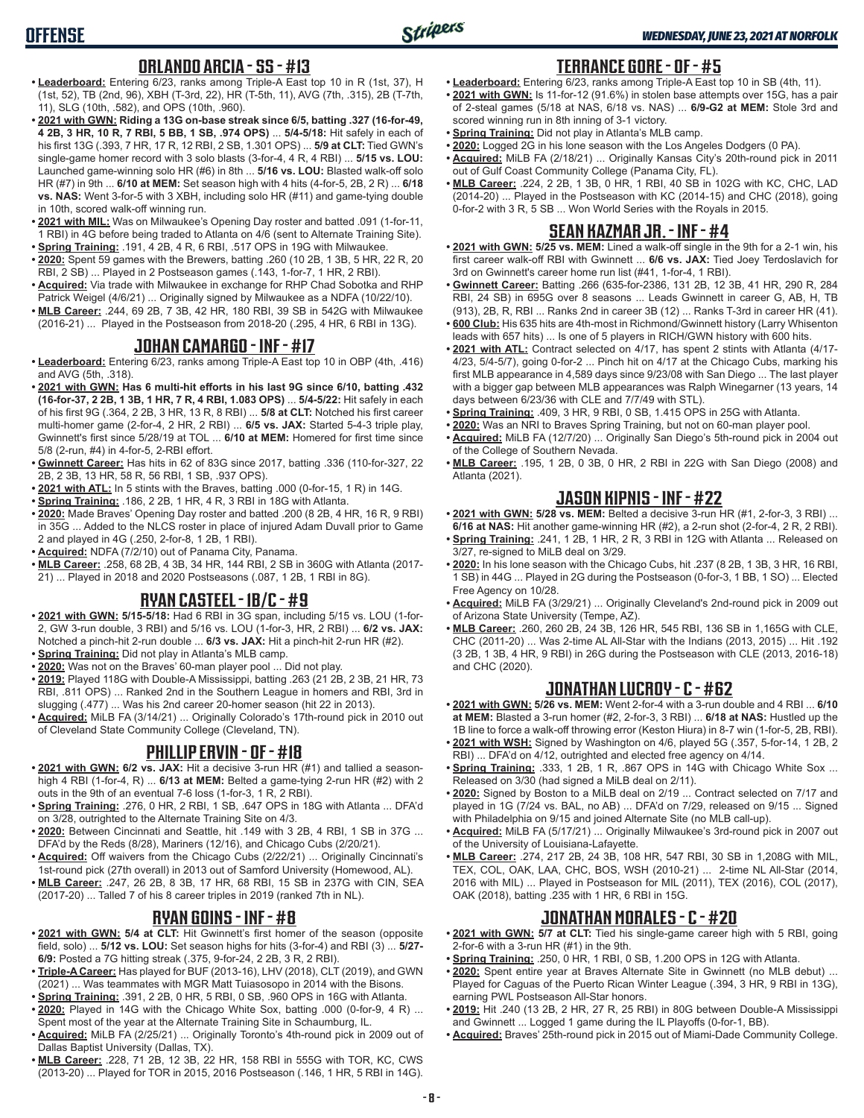### **ORLANDO ARCIA - SS - #13**

- **• Leaderboard:** Entering 6/23, ranks among Triple-A East top 10 in R (1st, 37), H (1st, 52), TB (2nd, 96), XBH (T-3rd, 22), HR (T-5th, 11), AVG (7th, .315), 2B (T-7th, 11), SLG (10th, .582), and OPS (10th, .960).
- **• 2021 with GWN: Riding a 13G on-base streak since 6/5, batting .327 (16-for-49, 4 2B, 3 HR, 10 R, 7 RBI, 5 BB, 1 SB, .974 OPS)** ... **5/4-5/18:** Hit safely in each of his first 13G (.393, 7 HR, 17 R, 12 RBI, 2 SB, 1.301 OPS) ... **5/9 at CLT:** Tied GWN's single-game homer record with 3 solo blasts (3-for-4, 4 R, 4 RBI) ... **5/15 vs. LOU:** Launched game-winning solo HR (#6) in 8th ... **5/16 vs. LOU:** Blasted walk-off solo HR (#7) in 9th ... **6/10 at MEM:** Set season high with 4 hits (4-for-5, 2B, 2 R) ... **6/18 vs. NAS:** Went 3-for-5 with 3 XBH, including solo HR (#11) and game-tying double in 10th, scored walk-off winning run.
- **• 2021 with MIL:** Was on Milwaukee's Opening Day roster and batted .091 (1-for-11, 1 RBI) in 4G before being traded to Atlanta on 4/6 (sent to Alternate Training Site). **• Spring Training:** .191, 4 2B, 4 R, 6 RBI, .517 OPS in 19G with Milwaukee.
- **• 2020:** Spent 59 games with the Brewers, batting .260 (10 2B, 1 3B, 5 HR, 22 R, 20 RBI, 2 SB) ... Played in 2 Postseason games (.143, 1-for-7, 1 HR, 2 RBI).
- **• Acquired:** Via trade with Milwaukee in exchange for RHP Chad Sobotka and RHP Patrick Weigel (4/6/21) ... Originally signed by Milwaukee as a NDFA (10/22/10).
- **• MLB Career:** .244, 69 2B, 7 3B, 42 HR, 180 RBI, 39 SB in 542G with Milwaukee (2016-21) ... Played in the Postseason from 2018-20 (.295, 4 HR, 6 RBI in 13G).

#### **JOHAN CAMARGO - INF - #17**

- **• Leaderboard:** Entering 6/23, ranks among Triple-A East top 10 in OBP (4th, .416) and AVG (5th, .318).
- **• 2021 with GWN: Has 6 multi-hit efforts in his last 9G since 6/10, batting .432 (16-for-37, 2 2B, 1 3B, 1 HR, 7 R, 4 RBI, 1.083 OPS)** ... **5/4-5/22:** Hit safely in each of his first 9G (.364, 2 2B, 3 HR, 13 R, 8 RBI) ... **5/8 at CLT:** Notched his first career multi-homer game (2-for-4, 2 HR, 2 RBI) ... **6/5 vs. JAX:** Started 5-4-3 triple play, Gwinnett's first since 5/28/19 at TOL ... **6/10 at MEM:** Homered for first time since 5/8 (2-run, #4) in 4-for-5, 2-RBI effort.
- **• Gwinnett Career:** Has hits in 62 of 83G since 2017, batting .336 (110-for-327, 22 2B, 2 3B, 13 HR, 58 R, 56 RBI, 1 SB, .937 OPS).
- **• 2021 with ATL:** In 5 stints with the Braves, batting .000 (0-for-15, 1 R) in 14G.
- **• Spring Training:** .186, 2 2B, 1 HR, 4 R, 3 RBI in 18G with Atlanta.
- **• 2020:** Made Braves' Opening Day roster and batted .200 (8 2B, 4 HR, 16 R, 9 RBI) in 35G ... Added to the NLCS roster in place of injured Adam Duvall prior to Game 2 and played in 4G (.250, 2-for-8, 1 2B, 1 RBI).
- **• Acquired:** NDFA (7/2/10) out of Panama City, Panama.
- **• MLB Career:** .258, 68 2B, 4 3B, 34 HR, 144 RBI, 2 SB in 360G with Atlanta (2017- 21) ... Played in 2018 and 2020 Postseasons (.087, 1 2B, 1 RBI in 8G).

### **RYAN CASTEEL - 1B/C - #9**

- **• 2021 with GWN: 5/15-5/18:** Had 6 RBI in 3G span, including 5/15 vs. LOU (1-for-2, GW 3-run double, 3 RBI) and 5/16 vs. LOU (1-for-3, HR, 2 RBI) ... **6/2 vs. JAX:** Notched a pinch-hit 2-run double ... **6/3 vs. JAX:** Hit a pinch-hit 2-run HR (#2).
- **• Spring Training:** Did not play in Atlanta's MLB camp.
- **• 2020:** Was not on the Braves' 60-man player pool ... Did not play.
- **• 2019:** Played 118G with Double-A Mississippi, batting .263 (21 2B, 2 3B, 21 HR, 73 RBI, .811 OPS) ... Ranked 2nd in the Southern League in homers and RBI, 3rd in slugging (.477) ... Was his 2nd career 20-homer season (hit 22 in 2013).
- **• Acquired:** MiLB FA (3/14/21) ... Originally Colorado's 17th-round pick in 2010 out of Cleveland State Community College (Cleveland, TN).

#### **PHILLIP ERVIN - OF - #18**

- **• 2021 with GWN: 6/2 vs. JAX:** Hit a decisive 3-run HR (#1) and tallied a seasonhigh 4 RBI (1-for-4, R) ... **6/13 at MEM:** Belted a game-tying 2-run HR (#2) with 2 outs in the 9th of an eventual 7-6 loss (1-for-3, 1 R, 2 RBI).
- **• Spring Training:** .276, 0 HR, 2 RBI, 1 SB, .647 OPS in 18G with Atlanta ... DFA'd on 3/28, outrighted to the Alternate Training Site on 4/3.
- **• 2020:** Between Cincinnati and Seattle, hit .149 with 3 2B, 4 RBI, 1 SB in 37G ... DFA'd by the Reds (8/28), Mariners (12/16), and Chicago Cubs (2/20/21).
- **• Acquired:** Off waivers from the Chicago Cubs (2/22/21) ... Originally Cincinnati's 1st-round pick (27th overall) in 2013 out of Samford University (Homewood, AL).
- **• MLB Career:** .247, 26 2B, 8 3B, 17 HR, 68 RBI, 15 SB in 237G with CIN, SEA (2017-20) ... Talled 7 of his 8 career triples in 2019 (ranked 7th in NL).

### **RYAN GOINS - INF - #8**

- **• 2021 with GWN: 5/4 at CLT:** Hit Gwinnett's first homer of the season (opposite field, solo) ... **5/12 vs. LOU:** Set season highs for hits (3-for-4) and RBI (3) ... **5/27- 6/9:** Posted a 7G hitting streak (.375, 9-for-24, 2 2B, 3 R, 2 RBI).
- **• Triple-A Career:** Has played for BUF (2013-16), LHV (2018), CLT (2019), and GWN (2021) ... Was teammates with MGR Matt Tuiasosopo in 2014 with the Bisons.
- **• Spring Training:** .391, 2 2B, 0 HR, 5 RBI, 0 SB, .960 OPS in 16G with Atlanta. **• 2020:** Played in 14G with the Chicago White Sox, batting .000 (0-for-9, 4 R) ...
- Spent most of the year at the Alternate Training Site in Schaumburg, IL. **• Acquired:** MiLB FA (2/25/21) ... Originally Toronto's 4th-round pick in 2009 out of
- Dallas Baptist University (Dallas, TX). **• MLB Career:** .228, 71 2B, 12 3B, 22 HR, 158 RBI in 555G with TOR, KC, CWS (2013-20) ... Played for TOR in 2015, 2016 Postseason (.146, 1 HR, 5 RBI in 14G).

#### **TERRANCE GORE - OF - #5**

- **• Leaderboard:** Entering 6/23, ranks among Triple-A East top 10 in SB (4th, 11).
- **• 2021 with GWN:** Is 11-for-12 (91.6%) in stolen base attempts over 15G, has a pair of 2-steal games (5/18 at NAS, 6/18 vs. NAS) ... **6/9-G2 at MEM:** Stole 3rd and scored winning run in 8th inning of 3-1 victory.
- **• Spring Training:** Did not play in Atlanta's MLB camp.
- **• 2020:** Logged 2G in his lone season with the Los Angeles Dodgers (0 PA).
- **• Acquired:** MiLB FA (2/18/21) ... Originally Kansas City's 20th-round pick in 2011 out of Gulf Coast Community College (Panama City, FL).
- **• MLB Career:** .224, 2 2B, 1 3B, 0 HR, 1 RBI, 40 SB in 102G with KC, CHC, LAD (2014-20) ... Played in the Postseason with KC (2014-15) and CHC (2018), going 0-for-2 with 3 R, 5 SB ... Won World Series with the Royals in 2015.

### **SEAN KAZMAR JR. - INF - #4**

- **• 2021 with GWN: 5/25 vs. MEM:** Lined a walk-off single in the 9th for a 2-1 win, his first career walk-off RBI with Gwinnett ... **6/6 vs. JAX:** Tied Joey Terdoslavich for 3rd on Gwinnett's career home run list (#41, 1-for-4, 1 RBI).
- **• Gwinnett Career:** Batting .266 (635-for-2386, 131 2B, 12 3B, 41 HR, 290 R, 284 RBI, 24 SB) in 695G over 8 seasons ... Leads Gwinnett in career G, AB, H, TB (913), 2B, R, RBI ... Ranks 2nd in career 3B (12) ... Ranks T-3rd in career HR (41).
- **• 600 Club:** His 635 hits are 4th-most in Richmond/Gwinnett history (Larry Whisenton leads with 657 hits) ... Is one of 5 players in RICH/GWN history with 600 hits.
- **• 2021 with ATL:** Contract selected on 4/17, has spent 2 stints with Atlanta (4/17- 4/23, 5/4-5/7), going 0-for-2 ... Pinch hit on 4/17 at the Chicago Cubs, marking his first MLB appearance in 4,589 days since 9/23/08 with San Diego ... The last player with a bigger gap between MLB appearances was Ralph Winegarner (13 years, 14 days between 6/23/36 with CLE and 7/7/49 with STL).
- **• Spring Training:** .409, 3 HR, 9 RBI, 0 SB, 1.415 OPS in 25G with Atlanta.
- **• 2020:** Was an NRI to Braves Spring Training, but not on 60-man player pool.
- **• Acquired:** MiLB FA (12/7/20) ... Originally San Diego's 5th-round pick in 2004 out of the College of Southern Nevada.
- **• MLB Career:** .195, 1 2B, 0 3B, 0 HR, 2 RBI in 22G with San Diego (2008) and Atlanta (2021).

### **JASON KIPNIS - INF - #22**

- **• 2021 with GWN: 5/28 vs. MEM:** Belted a decisive 3-run HR (#1, 2-for-3, 3 RBI) ... **6/16 at NAS:** Hit another game-winning HR (#2), a 2-run shot (2-for-4, 2 R, 2 RBI).
- **• Spring Training:** .241, 1 2B, 1 HR, 2 R, 3 RBI in 12G with Atlanta ... Released on 3/27, re-signed to MiLB deal on 3/29.
- **• 2020:** In his lone season with the Chicago Cubs, hit .237 (8 2B, 1 3B, 3 HR, 16 RBI, 1 SB) in 44G ... Played in 2G during the Postseason (0-for-3, 1 BB, 1 SO) ... Elected Free Agency on 10/28.
- **• Acquired:** MiLB FA (3/29/21) ... Originally Cleveland's 2nd-round pick in 2009 out of Arizona State University (Tempe, AZ).
- **• MLB Career:** .260, 260 2B, 24 3B, 126 HR, 545 RBI, 136 SB in 1,165G with CLE, CHC (2011-20) ... Was 2-time AL All-Star with the Indians (2013, 2015) ... Hit .192 (3 2B, 1 3B, 4 HR, 9 RBI) in 26G during the Postseason with CLE (2013, 2016-18) and CHC (2020).

### **JONATHAN LUCROY - C - #62**

- **• 2021 with GWN: 5/26 vs. MEM:** Went 2-for-4 with a 3-run double and 4 RBI ... **6/10 at MEM:** Blasted a 3-run homer (#2, 2-for-3, 3 RBI) ... **6/18 at NAS:** Hustled up the 1B line to force a walk-off throwing error (Keston Hiura) in 8-7 win (1-for-5, 2B, RBI).
- **• 2021 with WSH:** Signed by Washington on 4/6, played 5G (.357, 5-for-14, 1 2B, 2 RBI) ... DFA'd on 4/12, outrighted and elected free agency on 4/14.
- **• Spring Training:** .333, 1 2B, 1 R, .867 OPS in 14G with Chicago White Sox ... Released on 3/30 (had signed a MiLB deal on 2/11).
- **• 2020:** Signed by Boston to a MiLB deal on 2/19 ... Contract selected on 7/17 and played in 1G (7/24 vs. BAL, no AB) ... DFA'd on 7/29, released on 9/15 ... Signed with Philadelphia on 9/15 and joined Alternate Site (no MLB call-up).
- **• Acquired:** MiLB FA (5/17/21) ... Originally Milwaukee's 3rd-round pick in 2007 out of the University of Louisiana-Lafayette.
- **• MLB Career:** .274, 217 2B, 24 3B, 108 HR, 547 RBI, 30 SB in 1,208G with MIL, TEX, COL, OAK, LAA, CHC, BOS, WSH (2010-21) ... 2-time NL All-Star (2014, 2016 with MIL) ... Played in Postseason for MIL (2011), TEX (2016), COL (2017), OAK (2018), batting .235 with 1 HR, 6 RBI in 15G.

#### **JONATHAN MORALES - C - #20**

- **• 2021 with GWN: 5/7 at CLT:** Tied his single-game career high with 5 RBI, going 2-for-6 with a 3-run HR (#1) in the 9th.
- **• Spring Training:** .250, 0 HR, 1 RBI, 0 SB, 1.200 OPS in 12G with Atlanta.
- **• 2020:** Spent entire year at Braves Alternate Site in Gwinnett (no MLB debut) ... Played for Caguas of the Puerto Rican Winter League (.394, 3 HR, 9 RBI in 13G), earning PWL Postseason All-Star honors.
- **• 2019:** Hit .240 (13 2B, 2 HR, 27 R, 25 RBI) in 80G between Double-A Mississippi and Gwinnett ... Logged 1 game during the IL Playoffs (0-for-1, BB).
- **• Acquired:** Braves' 25th-round pick in 2015 out of Miami-Dade Community College.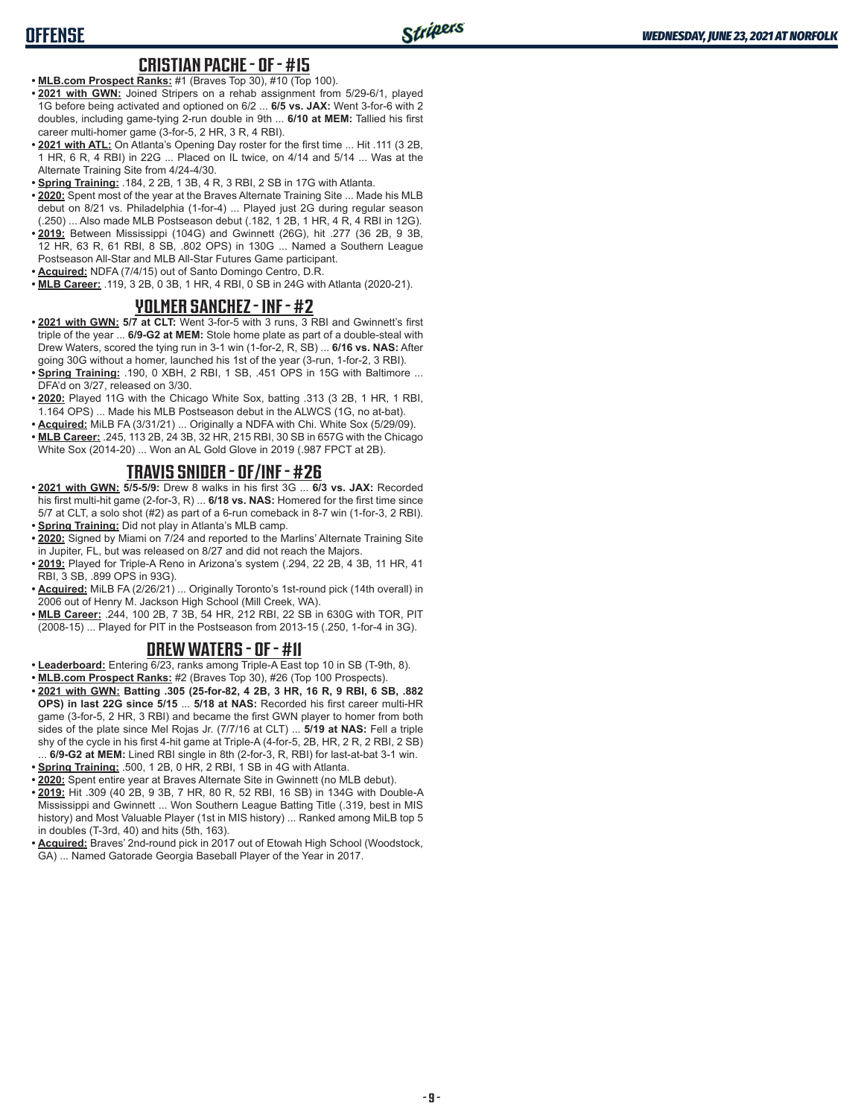# **OFFENSE**

#### **CRISTIAN PACHE - OF - #15**

- **• MLB.com Prospect Ranks:** #1 (Braves Top 30), #10 (Top 100).
- **• 2021 with GWN:** Joined Stripers on a rehab assignment from 5/29-6/1, played 1G before being activated and optioned on 6/2 ... **6/5 vs. JAX:** Went 3-for-6 with 2 doubles, including game-tying 2-run double in 9th ... **6/10 at MEM:** Tallied his first career multi-homer game (3-for-5, 2 HR, 3 R, 4 RBI).
- **• 2021 with ATL:** On Atlanta's Opening Day roster for the first time ... Hit .111 (3 2B, 1 HR, 6 R, 4 RBI) in 22G ... Placed on IL twice, on 4/14 and 5/14 ... Was at the Alternate Training Site from 4/24-4/30.
- **• Spring Training:** .184, 2 2B, 1 3B, 4 R, 3 RBI, 2 SB in 17G with Atlanta.
- **• 2020:** Spent most of the year at the Braves Alternate Training Site ... Made his MLB debut on 8/21 vs. Philadelphia (1-for-4) ... Played just 2G during regular season (.250) ... Also made MLB Postseason debut (.182, 1 2B, 1 HR, 4 R, 4 RBI in 12G).
- **• 2019:** Between Mississippi (104G) and Gwinnett (26G), hit .277 (36 2B, 9 3B, 12 HR, 63 R, 61 RBI, 8 SB, .802 OPS) in 130G ... Named a Southern League Postseason All-Star and MLB All-Star Futures Game participant.
- **• Acquired:** NDFA (7/4/15) out of Santo Domingo Centro, D.R.
- **• MLB Career:** .119, 3 2B, 0 3B, 1 HR, 4 RBI, 0 SB in 24G with Atlanta (2020-21).

#### **YOLMER SANCHEZ - INF - #2**

- **• 2021 with GWN: 5/7 at CLT:** Went 3-for-5 with 3 runs, 3 RBI and Gwinnett's first triple of the year ... **6/9-G2 at MEM:** Stole home plate as part of a double-steal with Drew Waters, scored the tying run in 3-1 win (1-for-2, R, SB) ... **6/16 vs. NAS:** After going 30G without a homer, launched his 1st of the year (3-run, 1-for-2, 3 RBI).
- **• Spring Training:** .190, 0 XBH, 2 RBI, 1 SB, .451 OPS in 15G with Baltimore ... DFA'd on 3/27, released on 3/30.
- **• 2020:** Played 11G with the Chicago White Sox, batting .313 (3 2B, 1 HR, 1 RBI, 1.164 OPS) ... Made his MLB Postseason debut in the ALWCS (1G, no at-bat).
- **• Acquired:** MiLB FA (3/31/21) ... Originally a NDFA with Chi. White Sox (5/29/09).
- **• MLB Career:** .245, 113 2B, 24 3B, 32 HR, 215 RBI, 30 SB in 657G with the Chicago White Sox (2014-20) ... Won an AL Gold Glove in 2019 (.987 FPCT at 2B).

## **TRAVIS SNIDER - OF/INF - #26**

- **• 2021 with GWN: 5/5-5/9:** Drew 8 walks in his first 3G ... **6/3 vs. JAX:** Recorded his first multi-hit game (2-for-3, R) ... **6/18 vs. NAS:** Homered for the first time since 5/7 at CLT, a solo shot (#2) as part of a 6-run comeback in 8-7 win (1-for-3, 2 RBI). **• Spring Training:** Did not play in Atlanta's MLB camp.
- **• 2020:** Signed by Miami on 7/24 and reported to the Marlins' Alternate Training Site in Jupiter, FL, but was released on 8/27 and did not reach the Majors.
- **• 2019:** Played for Triple-A Reno in Arizona's system (.294, 22 2B, 4 3B, 11 HR, 41 RBI, 3 SB, .899 OPS in 93G).
- **• Acquired:** MiLB FA (2/26/21) ... Originally Toronto's 1st-round pick (14th overall) in 2006 out of Henry M. Jackson High School (Mill Creek, WA).
- **• MLB Career:** .244, 100 2B, 7 3B, 54 HR, 212 RBI, 22 SB in 630G with TOR, PIT (2008-15) ... Played for PIT in the Postseason from 2013-15 (.250, 1-for-4 in 3G).

#### **DREW WATERS - OF - #11**

- **• Leaderboard:** Entering 6/23, ranks among Triple-A East top 10 in SB (T-9th, 8).
- **• MLB.com Prospect Ranks:** #2 (Braves Top 30), #26 (Top 100 Prospects).
- **• 2021 with GWN: Batting .305 (25-for-82, 4 2B, 3 HR, 16 R, 9 RBI, 6 SB, .882 OPS) in last 22G since 5/15** ... **5/18 at NAS:** Recorded his first career multi-HR game (3-for-5, 2 HR, 3 RBI) and became the first GWN player to homer from both sides of the plate since Mel Rojas Jr. (7/7/16 at CLT) ... **5/19 at NAS:** Fell a triple shy of the cycle in his first 4-hit game at Triple-A (4-for-5, 2B, HR, 2 R, 2 RBI, 2 SB) ... **6/9-G2 at MEM:** Lined RBI single in 8th (2-for-3, R, RBI) for last-at-bat 3-1 win.
- **• Spring Training:** .500, 1 2B, 0 HR, 2 RBI, 1 SB in 4G with Atlanta.
- **• 2020:** Spent entire year at Braves Alternate Site in Gwinnett (no MLB debut).
- **• 2019:** Hit .309 (40 2B, 9 3B, 7 HR, 80 R, 52 RBI, 16 SB) in 134G with Double-A Mississippi and Gwinnett ... Won Southern League Batting Title (.319, best in MIS history) and Most Valuable Player (1st in MIS history) ... Ranked among MiLB top 5 in doubles (T-3rd, 40) and hits (5th, 163).
- **• Acquired:** Braves' 2nd-round pick in 2017 out of Etowah High School (Woodstock, GA) ... Named Gatorade Georgia Baseball Player of the Year in 2017.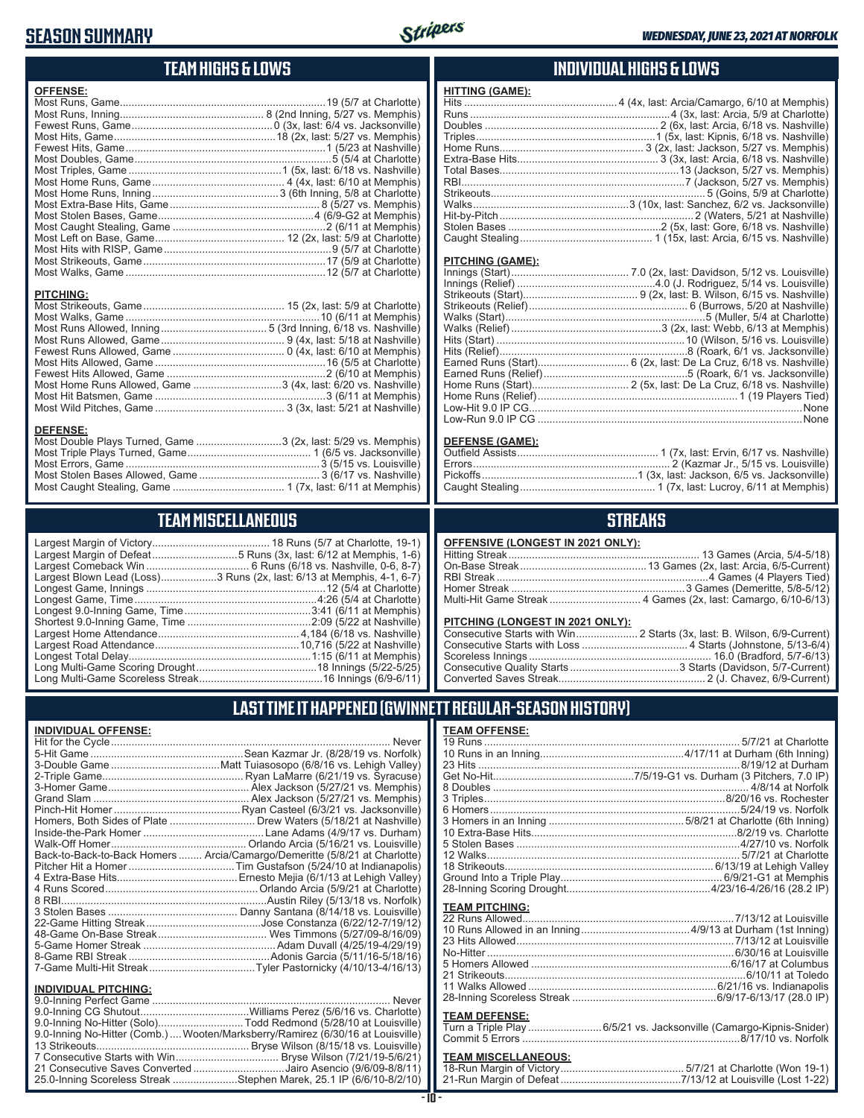# **SEASON SUMMARY**



# **TEAM HIGHS & LOWS**

| <b>OFFENSE:</b>                                               |  |
|---------------------------------------------------------------|--|
|                                                               |  |
|                                                               |  |
|                                                               |  |
|                                                               |  |
|                                                               |  |
|                                                               |  |
|                                                               |  |
|                                                               |  |
|                                                               |  |
|                                                               |  |
|                                                               |  |
|                                                               |  |
|                                                               |  |
|                                                               |  |
|                                                               |  |
|                                                               |  |
|                                                               |  |
| <b>PITCHING:</b>                                              |  |
|                                                               |  |
|                                                               |  |
|                                                               |  |
|                                                               |  |
|                                                               |  |
|                                                               |  |
|                                                               |  |
| Most Home Runs Allowed, Game 3 (4x, last: 6/20 vs. Nashville) |  |
|                                                               |  |
|                                                               |  |
|                                                               |  |
| <b>DEFENSE:</b><br>$\sim$ $\sim$ $\sim$ $\sim$                |  |

| Most Double Plays Turned, Game 3 (2x, last: 5/29 vs. Memphis) |  |
|---------------------------------------------------------------|--|
|                                                               |  |
|                                                               |  |
|                                                               |  |
|                                                               |  |

# **TEAM MISCELLANEOUS**

| Largest Margin of Defeat5 Runs (3x, last: 6/12 at Memphis, 1-6)       |
|-----------------------------------------------------------------------|
|                                                                       |
| Largest Blown Lead (Loss)3 Runs (2x, last: 6/13 at Memphis, 4-1, 6-7) |
|                                                                       |
|                                                                       |
|                                                                       |
|                                                                       |
|                                                                       |
|                                                                       |
|                                                                       |
|                                                                       |
|                                                                       |

### **INDIVIDUAL HIGHS & LOWS**

| <b>HITTING (GAME):</b> |  |
|------------------------|--|
|                        |  |
|                        |  |
|                        |  |
|                        |  |
|                        |  |
|                        |  |
|                        |  |
|                        |  |
|                        |  |
|                        |  |
|                        |  |
|                        |  |
|                        |  |
|                        |  |

#### **PITCHING (GAME):**

#### **DEFENSE (GAME):**

# **STREAKS**

#### **OFFENSIVE (LONGEST IN 2021 ONLY):**

#### **PITCHING (LONGEST IN 2021 ONLY):**

# **LAST TIME IT HAPPENED (GWINNETT REGULAR-SEASON HISTORY)**

#### **INDIVIDUAL OFFENSE:**

|                             | Homers, Both Sides of Plate  Drew Waters (5/18/21 at Nashville)            |
|-----------------------------|----------------------------------------------------------------------------|
|                             |                                                                            |
|                             |                                                                            |
|                             | Back-to-Back-to-Back Homers  Arcia/Camargo/Demeritte (5/8/21 at Charlotte) |
|                             |                                                                            |
|                             |                                                                            |
|                             |                                                                            |
|                             |                                                                            |
|                             |                                                                            |
|                             |                                                                            |
|                             |                                                                            |
|                             |                                                                            |
|                             |                                                                            |
|                             |                                                                            |
|                             |                                                                            |
| <b>INDIVIDUAL PITCHING:</b> |                                                                            |
|                             | $\overline{a}$                                                             |

| 9.0-Inning No-Hitter (Solo)Todd Redmond (5/28/10 at Louisville)                |  |
|--------------------------------------------------------------------------------|--|
| 9.0-Inning No-Hitter (Comb.) Wooten/Marksberry/Ramirez (6/30/16 at Louisville) |  |
|                                                                                |  |
|                                                                                |  |
| 21 Consecutive Saves Converted Jairo Asencio (9/6/09-8/8/11)                   |  |
| 25.0-Inning Scoreless Streak Stephen Marek, 25.1 IP (6/6/10-8/2/10)            |  |

#### **- 10 -**

| <b>TEAM OFFENSE:</b>  |                                                       |
|-----------------------|-------------------------------------------------------|
|                       |                                                       |
|                       |                                                       |
|                       | 23 Hits …………………………………………………………………………8/19/12 at Durham |
|                       |                                                       |
|                       |                                                       |
|                       |                                                       |
|                       |                                                       |
|                       |                                                       |
|                       |                                                       |
|                       |                                                       |
|                       |                                                       |
|                       |                                                       |
|                       |                                                       |
|                       |                                                       |
| <b>TEAM PITCHING:</b> |                                                       |
|                       |                                                       |
|                       |                                                       |
|                       |                                                       |
|                       |                                                       |

| No-Hitter …………………………………………………………………………………6/30/16 at Louisville |  |
|----------------------------------------------------------------|--|
| 5 Homers Allowed ………………………………………………………………6/16/17 at Columbus   |  |
|                                                                |  |
|                                                                |  |
|                                                                |  |
|                                                                |  |

#### **TEAM DEFENSE:**

| Turn a Triple Play 6/5/21 vs. Jacksonville (Camargo-Kipnis-Snider) |
|--------------------------------------------------------------------|
|                                                                    |

| <b>TEAM MISCELLANEOUS:</b> |  |
|----------------------------|--|
|                            |  |
|                            |  |